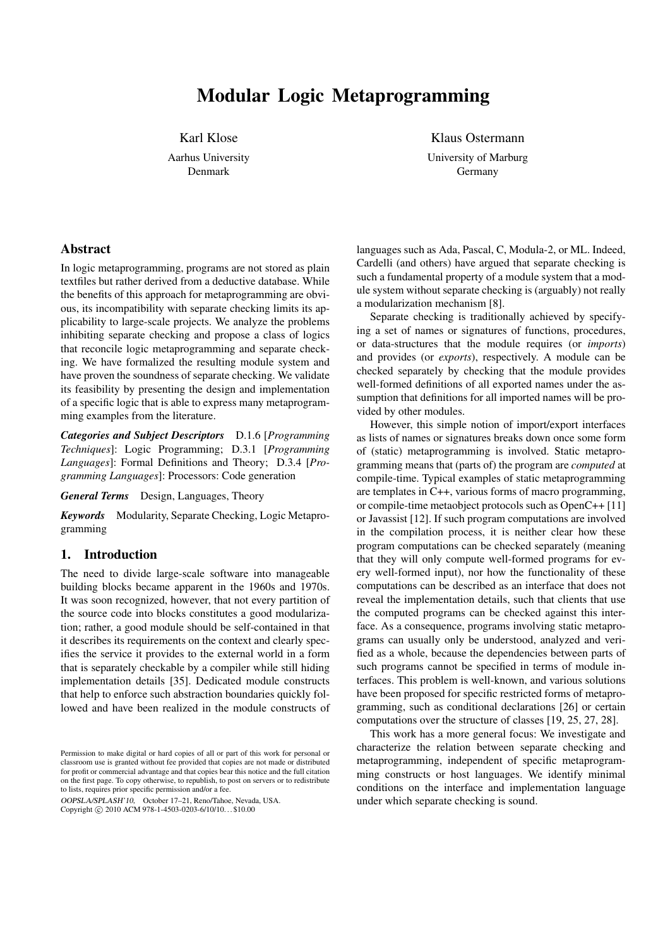# Modular Logic Metaprogramming

Karl Klose

Aarhus University Denmark

Klaus Ostermann University of Marburg Germany

# Abstract

In logic metaprogramming, programs are not stored as plain textfiles but rather derived from a deductive database. While the benefits of this approach for metaprogramming are obvious, its incompatibility with separate checking limits its applicability to large-scale projects. We analyze the problems inhibiting separate checking and propose a class of logics that reconcile logic metaprogramming and separate checking. We have formalized the resulting module system and have proven the soundness of separate checking. We validate its feasibility by presenting the design and implementation of a specific logic that is able to express many metaprogramming examples from the literature.

*Categories and Subject Descriptors* D.1.6 [*Programming Techniques*]: Logic Programming; D.3.1 [*Programming Languages*]: Formal Definitions and Theory; D.3.4 [*Programming Languages*]: Processors: Code generation

*General Terms* Design, Languages, Theory

*Keywords* Modularity, Separate Checking, Logic Metaprogramming

## 1. Introduction

The need to divide large-scale software into manageable building blocks became apparent in the 1960s and 1970s. It was soon recognized, however, that not every partition of the source code into blocks constitutes a good modularization; rather, a good module should be self-contained in that it describes its requirements on the context and clearly specifies the service it provides to the external world in a form that is separately checkable by a compiler while still hiding implementation details [35]. Dedicated module constructs that help to enforce such abstraction boundaries quickly followed and have been realized in the module constructs of

OOPSLA/SPLASH'10, October 17–21, Reno/Tahoe, Nevada, USA.

Copyright © 2010 ACM 978-1-4503-0203-6/10/10...\$10.00

languages such as Ada, Pascal, C, Modula-2, or ML. Indeed, Cardelli (and others) have argued that separate checking is such a fundamental property of a module system that a module system without separate checking is (arguably) not really a modularization mechanism [8].

Separate checking is traditionally achieved by specifying a set of names or signatures of functions, procedures, or data-structures that the module requires (or *imports*) and provides (or *exports*), respectively. A module can be checked separately by checking that the module provides well-formed definitions of all exported names under the assumption that definitions for all imported names will be provided by other modules.

However, this simple notion of import/export interfaces as lists of names or signatures breaks down once some form of (static) metaprogramming is involved. Static metaprogramming means that (parts of) the program are *computed* at compile-time. Typical examples of static metaprogramming are templates in C++, various forms of macro programming, or compile-time metaobject protocols such as OpenC++ [11] or Javassist [12]. If such program computations are involved in the compilation process, it is neither clear how these program computations can be checked separately (meaning that they will only compute well-formed programs for every well-formed input), nor how the functionality of these computations can be described as an interface that does not reveal the implementation details, such that clients that use the computed programs can be checked against this interface. As a consequence, programs involving static metaprograms can usually only be understood, analyzed and verified as a whole, because the dependencies between parts of such programs cannot be specified in terms of module interfaces. This problem is well-known, and various solutions have been proposed for specific restricted forms of metaprogramming, such as conditional declarations [26] or certain computations over the structure of classes [19, 25, 27, 28].

This work has a more general focus: We investigate and characterize the relation between separate checking and metaprogramming, independent of specific metaprogramming constructs or host languages. We identify minimal conditions on the interface and implementation language under which separate checking is sound.

Permission to make digital or hard copies of all or part of this work for personal or classroom use is granted without fee provided that copies are not made or distributed for profit or commercial advantage and that copies bear this notice and the full citation on the first page. To copy otherwise, to republish, to post on servers or to redistribute to lists, requires prior specific permission and/or a fee.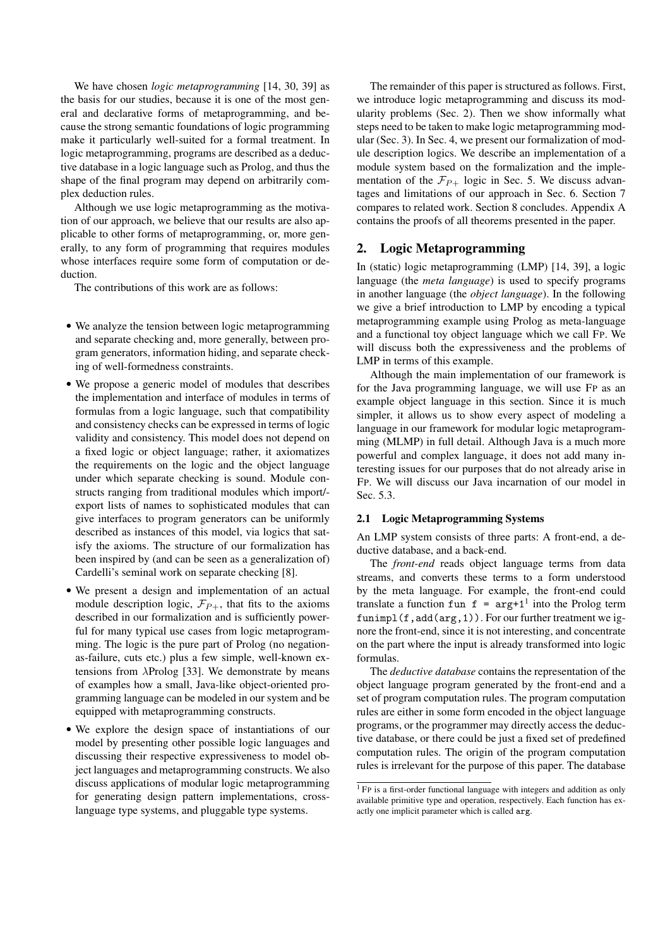We have chosen *logic metaprogramming* [14, 30, 39] as the basis for our studies, because it is one of the most general and declarative forms of metaprogramming, and because the strong semantic foundations of logic programming make it particularly well-suited for a formal treatment. In logic metaprogramming, programs are described as a deductive database in a logic language such as Prolog, and thus the shape of the final program may depend on arbitrarily complex deduction rules.

Although we use logic metaprogramming as the motivation of our approach, we believe that our results are also applicable to other forms of metaprogramming, or, more generally, to any form of programming that requires modules whose interfaces require some form of computation or deduction.

The contributions of this work are as follows:

- We analyze the tension between logic metaprogramming and separate checking and, more generally, between program generators, information hiding, and separate checking of well-formedness constraints.
- We propose a generic model of modules that describes the implementation and interface of modules in terms of formulas from a logic language, such that compatibility and consistency checks can be expressed in terms of logic validity and consistency. This model does not depend on a fixed logic or object language; rather, it axiomatizes the requirements on the logic and the object language under which separate checking is sound. Module constructs ranging from traditional modules which import/ export lists of names to sophisticated modules that can give interfaces to program generators can be uniformly described as instances of this model, via logics that satisfy the axioms. The structure of our formalization has been inspired by (and can be seen as a generalization of) Cardelli's seminal work on separate checking [8].
- We present a design and implementation of an actual module description logic,  $\mathcal{F}_{P+}$ , that fits to the axioms described in our formalization and is sufficiently powerful for many typical use cases from logic metaprogramming. The logic is the pure part of Prolog (no negationas-failure, cuts etc.) plus a few simple, well-known extensions from  $\lambda$ Prolog [33]. We demonstrate by means of examples how a small, Java-like object-oriented programming language can be modeled in our system and be equipped with metaprogramming constructs.
- We explore the design space of instantiations of our model by presenting other possible logic languages and discussing their respective expressiveness to model object languages and metaprogramming constructs. We also discuss applications of modular logic metaprogramming for generating design pattern implementations, crosslanguage type systems, and pluggable type systems.

The remainder of this paper is structured as follows. First, we introduce logic metaprogramming and discuss its modularity problems (Sec. 2). Then we show informally what steps need to be taken to make logic metaprogramming modular (Sec. 3). In Sec. 4, we present our formalization of module description logics. We describe an implementation of a module system based on the formalization and the implementation of the  $\mathcal{F}_{P+}$  logic in Sec. 5. We discuss advantages and limitations of our approach in Sec. 6. Section 7 compares to related work. Section 8 concludes. Appendix A contains the proofs of all theorems presented in the paper.

## 2. Logic Metaprogramming

In (static) logic metaprogramming (LMP) [14, 39], a logic language (the *meta language*) is used to specify programs in another language (the *object language*). In the following we give a brief introduction to LMP by encoding a typical metaprogramming example using Prolog as meta-language and a functional toy object language which we call FP. We will discuss both the expressiveness and the problems of LMP in terms of this example.

Although the main implementation of our framework is for the Java programming language, we will use FP as an example object language in this section. Since it is much simpler, it allows us to show every aspect of modeling a language in our framework for modular logic metaprogramming (MLMP) in full detail. Although Java is a much more powerful and complex language, it does not add many interesting issues for our purposes that do not already arise in FP. We will discuss our Java incarnation of our model in Sec. 5.3.

#### 2.1 Logic Metaprogramming Systems

An LMP system consists of three parts: A front-end, a deductive database, and a back-end.

The *front-end* reads object language terms from data streams, and converts these terms to a form understood by the meta language. For example, the front-end could translate a function fun  $f = arg+1<sup>1</sup>$  into the Prolog term funimpl(f,add( $arg,1$ )). For our further treatment we ignore the front-end, since it is not interesting, and concentrate on the part where the input is already transformed into logic formulas.

The *deductive database* contains the representation of the object language program generated by the front-end and a set of program computation rules. The program computation rules are either in some form encoded in the object language programs, or the programmer may directly access the deductive database, or there could be just a fixed set of predefined computation rules. The origin of the program computation rules is irrelevant for the purpose of this paper. The database

 $1$  FP is a first-order functional language with integers and addition as only available primitive type and operation, respectively. Each function has exactly one implicit parameter which is called arg.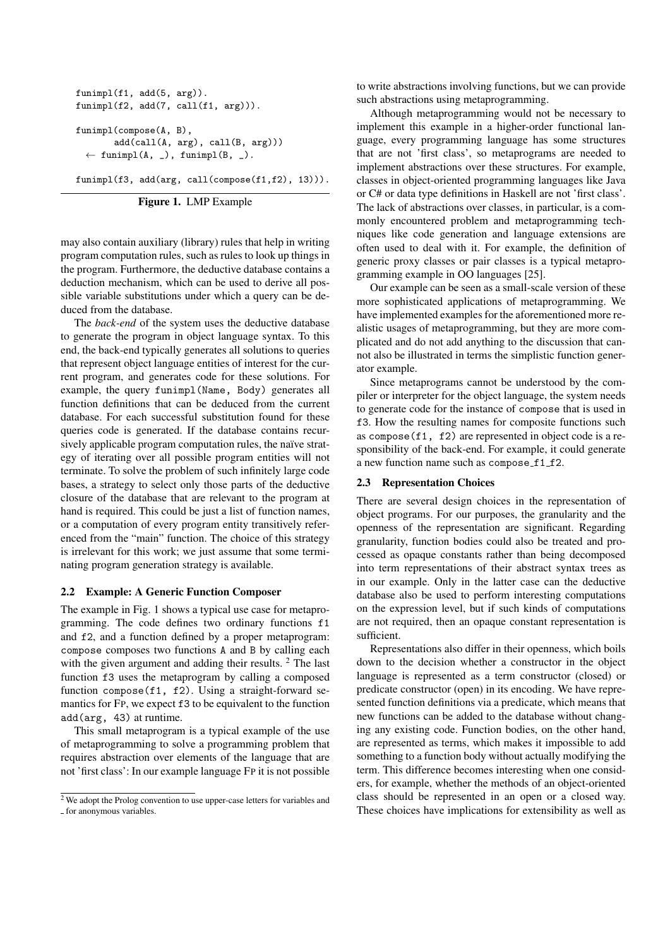```
funimpl(f1, add(5, arg)).
funimpl(f2, add(7, call(f1, arg))).
funimpl(compose(A, B),
       add(call(A, arg), call(B, arg)))
  \leftarrow funimpl(A, _), funimpl(B, _).
funimpl(f3, add(arg, call(compose(f1,f2), 13))).
```


may also contain auxiliary (library) rules that help in writing program computation rules, such as rules to look up things in the program. Furthermore, the deductive database contains a deduction mechanism, which can be used to derive all possible variable substitutions under which a query can be deduced from the database.

The *back-end* of the system uses the deductive database to generate the program in object language syntax. To this end, the back-end typically generates all solutions to queries that represent object language entities of interest for the current program, and generates code for these solutions. For example, the query funimpl(Name, Body) generates all function definitions that can be deduced from the current database. For each successful substitution found for these queries code is generated. If the database contains recursively applicable program computation rules, the naïve strategy of iterating over all possible program entities will not terminate. To solve the problem of such infinitely large code bases, a strategy to select only those parts of the deductive closure of the database that are relevant to the program at hand is required. This could be just a list of function names, or a computation of every program entity transitively referenced from the "main" function. The choice of this strategy is irrelevant for this work; we just assume that some terminating program generation strategy is available.

## 2.2 Example: A Generic Function Composer

The example in Fig. 1 shows a typical use case for metaprogramming. The code defines two ordinary functions f1 and f2, and a function defined by a proper metaprogram: compose composes two functions A and B by calling each with the given argument and adding their results. <sup>2</sup> The last function f3 uses the metaprogram by calling a composed function compose(f1, f2). Using a straight-forward semantics for FP, we expect f3 to be equivalent to the function add(arg, 43) at runtime.

This small metaprogram is a typical example of the use of metaprogramming to solve a programming problem that requires abstraction over elements of the language that are not 'first class': In our example language FP it is not possible to write abstractions involving functions, but we can provide such abstractions using metaprogramming.

Although metaprogramming would not be necessary to implement this example in a higher-order functional language, every programming language has some structures that are not 'first class', so metaprograms are needed to implement abstractions over these structures. For example, classes in object-oriented programming languages like Java or C# or data type definitions in Haskell are not 'first class'. The lack of abstractions over classes, in particular, is a commonly encountered problem and metaprogramming techniques like code generation and language extensions are often used to deal with it. For example, the definition of generic proxy classes or pair classes is a typical metaprogramming example in OO languages [25].

Our example can be seen as a small-scale version of these more sophisticated applications of metaprogramming. We have implemented examples for the aforementioned more realistic usages of metaprogramming, but they are more complicated and do not add anything to the discussion that cannot also be illustrated in terms the simplistic function generator example.

Since metaprograms cannot be understood by the compiler or interpreter for the object language, the system needs to generate code for the instance of compose that is used in f3. How the resulting names for composite functions such as compose(f1, f2) are represented in object code is a responsibility of the back-end. For example, it could generate a new function name such as compose\_f1\_f2.

## 2.3 Representation Choices

There are several design choices in the representation of object programs. For our purposes, the granularity and the openness of the representation are significant. Regarding granularity, function bodies could also be treated and processed as opaque constants rather than being decomposed into term representations of their abstract syntax trees as in our example. Only in the latter case can the deductive database also be used to perform interesting computations on the expression level, but if such kinds of computations are not required, then an opaque constant representation is sufficient.

Representations also differ in their openness, which boils down to the decision whether a constructor in the object language is represented as a term constructor (closed) or predicate constructor (open) in its encoding. We have represented function definitions via a predicate, which means that new functions can be added to the database without changing any existing code. Function bodies, on the other hand, are represented as terms, which makes it impossible to add something to a function body without actually modifying the term. This difference becomes interesting when one considers, for example, whether the methods of an object-oriented class should be represented in an open or a closed way. These choices have implications for extensibility as well as

<sup>2</sup> We adopt the Prolog convention to use upper-case letters for variables and for anonymous variables.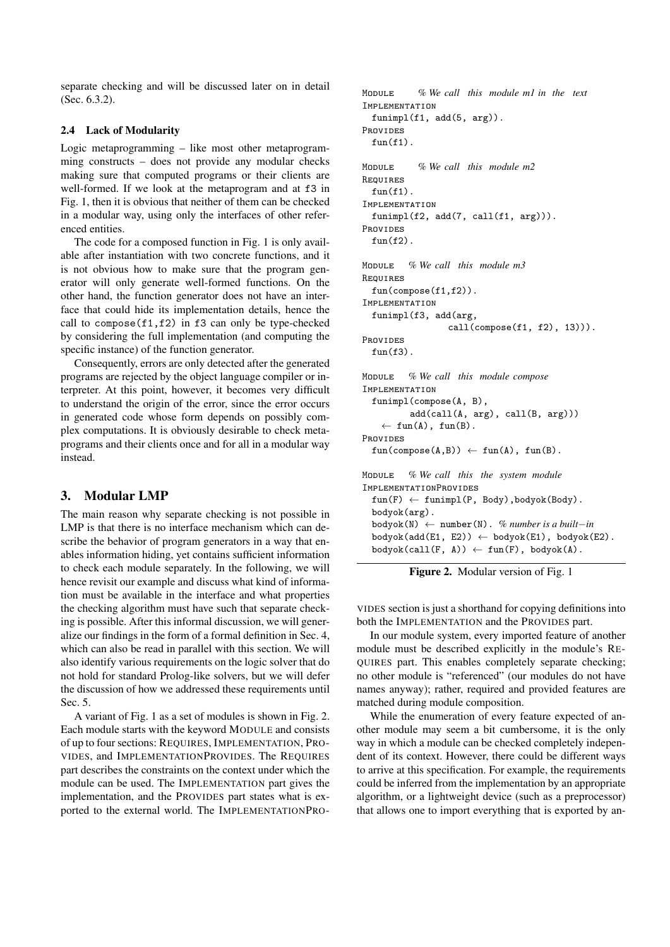separate checking and will be discussed later on in detail (Sec. 6.3.2).

## 2.4 Lack of Modularity

Logic metaprogramming – like most other metaprogramming constructs – does not provide any modular checks making sure that computed programs or their clients are well-formed. If we look at the metaprogram and at f3 in Fig. 1, then it is obvious that neither of them can be checked in a modular way, using only the interfaces of other referenced entities.

The code for a composed function in Fig. 1 is only available after instantiation with two concrete functions, and it is not obvious how to make sure that the program generator will only generate well-formed functions. On the other hand, the function generator does not have an interface that could hide its implementation details, hence the call to compose  $(f1,f2)$  in f3 can only be type-checked by considering the full implementation (and computing the specific instance) of the function generator.

Consequently, errors are only detected after the generated programs are rejected by the object language compiler or interpreter. At this point, however, it becomes very difficult to understand the origin of the error, since the error occurs in generated code whose form depends on possibly complex computations. It is obviously desirable to check metaprograms and their clients once and for all in a modular way instead.

# 3. Modular LMP

The main reason why separate checking is not possible in LMP is that there is no interface mechanism which can describe the behavior of program generators in a way that enables information hiding, yet contains sufficient information to check each module separately. In the following, we will hence revisit our example and discuss what kind of information must be available in the interface and what properties the checking algorithm must have such that separate checking is possible. After this informal discussion, we will generalize our findings in the form of a formal definition in Sec. 4, which can also be read in parallel with this section. We will also identify various requirements on the logic solver that do not hold for standard Prolog-like solvers, but we will defer the discussion of how we addressed these requirements until Sec. 5.

A variant of Fig. 1 as a set of modules is shown in Fig. 2. Each module starts with the keyword MODULE and consists of up to four sections: REQUIRES, IMPLEMENTATION, PRO-VIDES, and IMPLEMENTATIONPROVIDES. The REQUIRES part describes the constraints on the context under which the module can be used. The IMPLEMENTATION part gives the implementation, and the PROVIDES part states what is exported to the external world. The IMPLEMENTATIONPRO-

```
Module % We call this module m1 in the text
Implementation
 funimpl(f1, add(5, arg)).Provides
 fun(f1).
Module % We call this module m2
Requires
 fun(f1).
Implementation
 funimpl(f2, add(7, call(f1, arg))).
Provides
 fun(f2).
MODULE % We call this module m3
Requires
 fun(compose(f1,f2)).
Implementation
 funimpl(f3, add(arg,
                 call(compose(f1, f2), 13))).
Provides
 fun(f3).
Module % We call this module compose
Implementation
 funimpl(compose(A, B),
         add(call(A, arg), call(B, arg)))\leftarrow fun(A), fun(B).
Provides
 fun(\text{compose}(A,B)) \leftarrow fun(A), fun(B).Module % We call this the system module
ImplementationProvides
 fun(F) \leftarrow funimpl(P, Body), bodyok(Body).
 bodyok(arg).
 bodyok(N) ← number(N). % number is a built−in
 bodyok(add(E1, E2)) \leftarrow bodyok(E1), bodyok(E2).bodyok(call(F, A)) \leftarrow fun(F), bodyok(A).
```
Figure 2. Modular version of Fig. 1

VIDES section is just a shorthand for copying definitions into both the IMPLEMENTATION and the PROVIDES part.

In our module system, every imported feature of another module must be described explicitly in the module's RE-QUIRES part. This enables completely separate checking; no other module is "referenced" (our modules do not have names anyway); rather, required and provided features are matched during module composition.

While the enumeration of every feature expected of another module may seem a bit cumbersome, it is the only way in which a module can be checked completely independent of its context. However, there could be different ways to arrive at this specification. For example, the requirements could be inferred from the implementation by an appropriate algorithm, or a lightweight device (such as a preprocessor) that allows one to import everything that is exported by an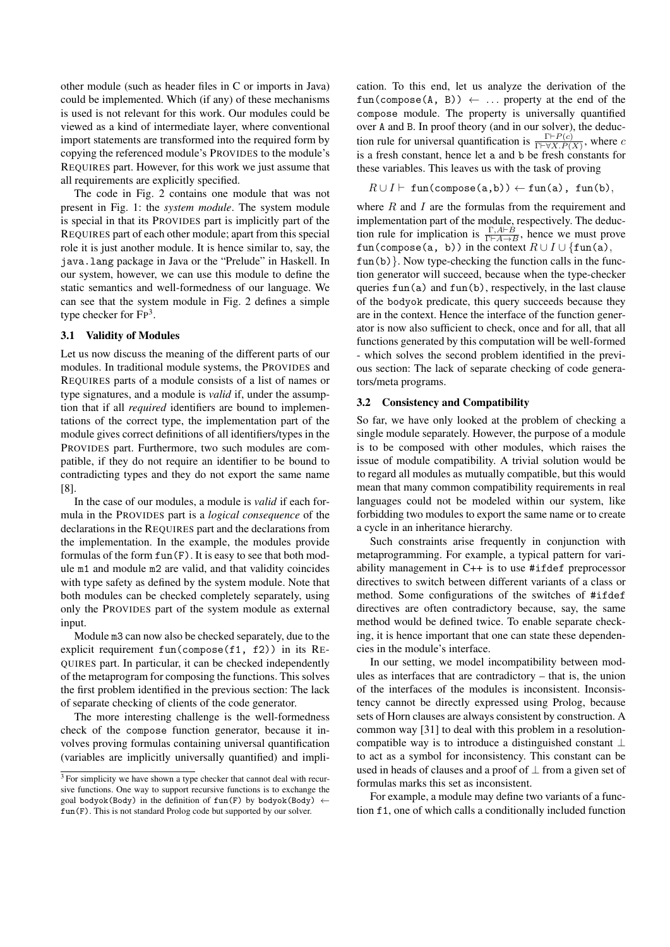other module (such as header files in C or imports in Java) could be implemented. Which (if any) of these mechanisms is used is not relevant for this work. Our modules could be viewed as a kind of intermediate layer, where conventional import statements are transformed into the required form by copying the referenced module's PROVIDES to the module's REQUIRES part. However, for this work we just assume that all requirements are explicitly specified.

The code in Fig. 2 contains one module that was not present in Fig. 1: the *system module*. The system module is special in that its PROVIDES part is implicitly part of the REQUIRES part of each other module; apart from this special role it is just another module. It is hence similar to, say, the java.lang package in Java or the "Prelude" in Haskell. In our system, however, we can use this module to define the static semantics and well-formedness of our language. We can see that the system module in Fig. 2 defines a simple type checker for  $FP<sup>3</sup>$ .

#### 3.1 Validity of Modules

Let us now discuss the meaning of the different parts of our modules. In traditional module systems, the PROVIDES and REQUIRES parts of a module consists of a list of names or type signatures, and a module is *valid* if, under the assumption that if all *required* identifiers are bound to implementations of the correct type, the implementation part of the module gives correct definitions of all identifiers/types in the PROVIDES part. Furthermore, two such modules are compatible, if they do not require an identifier to be bound to contradicting types and they do not export the same name [8].

In the case of our modules, a module is *valid* if each formula in the PROVIDES part is a *logical consequence* of the declarations in the REQUIRES part and the declarations from the implementation. In the example, the modules provide formulas of the form  $fun(F)$ . It is easy to see that both module m1 and module m2 are valid, and that validity coincides with type safety as defined by the system module. Note that both modules can be checked completely separately, using only the PROVIDES part of the system module as external input.

Module m3 can now also be checked separately, due to the explicit requirement fun(compose(f1, f2)) in its RE-QUIRES part. In particular, it can be checked independently of the metaprogram for composing the functions. This solves the first problem identified in the previous section: The lack of separate checking of clients of the code generator.

The more interesting challenge is the well-formedness check of the compose function generator, because it involves proving formulas containing universal quantification (variables are implicitly universally quantified) and implication. To this end, let us analyze the derivation of the  $fun(\text{compose}(A, B)) \leftarrow \dots$  property at the end of the compose module. The property is universally quantified over A and B. In proof theory (and in our solver), the deduction rule for universal quantification is  $\frac{\Gamma \vdash P(c)}{\Gamma \vdash \forall X.P(X)}$ , where c is a fresh constant, hence let a and b be fresh constants for these variables. This leaves us with the task of proving

$$
R \cup I \vdash \verb|fun| ( \verb|compose(a,b)) \leftarrow \verb|fun(a), \verb|fun(b),
$$

where  $R$  and  $I$  are the formulas from the requirement and implementation part of the module, respectively. The deduction rule for implication is  $\frac{\Gamma, A \vdash B}{\Gamma \vdash A \to B}$ , hence we must prove fun(compose(a, b)) in the context  $R \cup I \cup \{ \text{fun}(a),$  $fun(b)$ . Now type-checking the function calls in the function generator will succeed, because when the type-checker queries fun(a) and fun(b), respectively, in the last clause of the bodyok predicate, this query succeeds because they are in the context. Hence the interface of the function generator is now also sufficient to check, once and for all, that all functions generated by this computation will be well-formed - which solves the second problem identified in the previous section: The lack of separate checking of code generators/meta programs.

#### 3.2 Consistency and Compatibility

So far, we have only looked at the problem of checking a single module separately. However, the purpose of a module is to be composed with other modules, which raises the issue of module compatibility. A trivial solution would be to regard all modules as mutually compatible, but this would mean that many common compatibility requirements in real languages could not be modeled within our system, like forbidding two modules to export the same name or to create a cycle in an inheritance hierarchy.

Such constraints arise frequently in conjunction with metaprogramming. For example, a typical pattern for variability management in C++ is to use #ifdef preprocessor directives to switch between different variants of a class or method. Some configurations of the switches of #ifdef directives are often contradictory because, say, the same method would be defined twice. To enable separate checking, it is hence important that one can state these dependencies in the module's interface.

In our setting, we model incompatibility between modules as interfaces that are contradictory – that is, the union of the interfaces of the modules is inconsistent. Inconsistency cannot be directly expressed using Prolog, because sets of Horn clauses are always consistent by construction. A common way [31] to deal with this problem in a resolutioncompatible way is to introduce a distinguished constant ⊥ to act as a symbol for inconsistency. This constant can be used in heads of clauses and a proof of  $\perp$  from a given set of formulas marks this set as inconsistent.

For example, a module may define two variants of a function f1, one of which calls a conditionally included function

<sup>&</sup>lt;sup>3</sup> For simplicity we have shown a type checker that cannot deal with recursive functions. One way to support recursive functions is to exchange the goal bodyok(Body) in the definition of fun(F) by bodyok(Body) ← fun(F). This is not standard Prolog code but supported by our solver.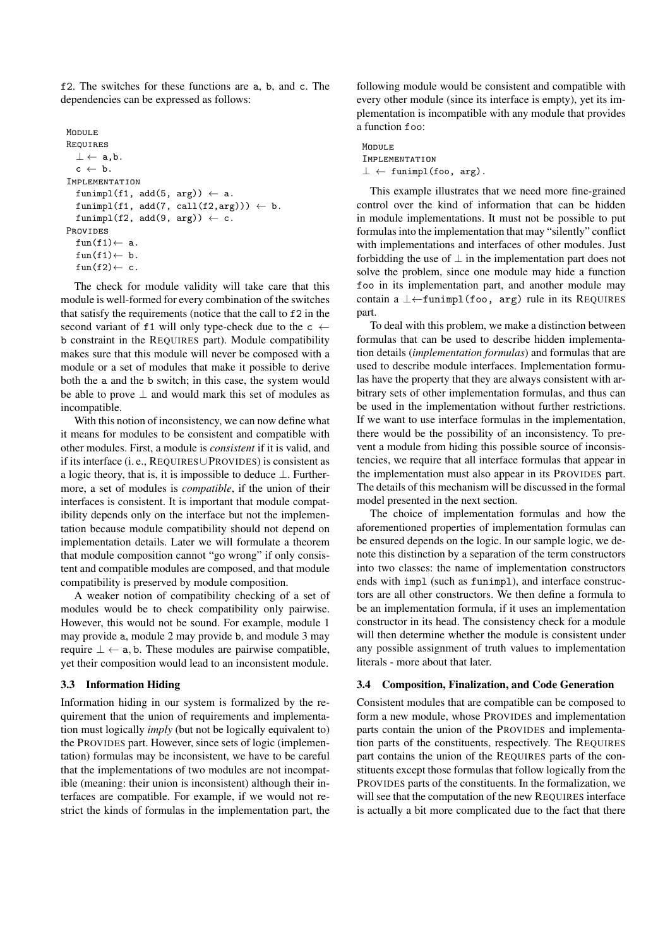f2. The switches for these functions are a, b, and c. The dependencies can be expressed as follows:

```
MODULE
Requires
  \perp \leftarrow a,b.
  c + b.
Implementation
  funimpl(f1, add(5, arg)) \leftarrow a.
  funimpl(f1, add(7, call(f2,arg))) \leftarrow b.
  funimpl(f2, add(9, arg)) \leftarrow c.
Provides
  fun(f1) \leftarrow a.
  fun(f1) \leftarrow b.fun(f2) \leftarrow c.
```
The check for module validity will take care that this module is well-formed for every combination of the switches that satisfy the requirements (notice that the call to f2 in the second variant of f1 will only type-check due to the  $c \leftarrow$ b constraint in the REQUIRES part). Module compatibility makes sure that this module will never be composed with a module or a set of modules that make it possible to derive both the a and the b switch; in this case, the system would be able to prove  $\perp$  and would mark this set of modules as incompatible.

With this notion of inconsistency, we can now define what it means for modules to be consistent and compatible with other modules. First, a module is *consistent* if it is valid, and if its interface (i. e., REQUIRES∪PROVIDES) is consistent as a logic theory, that is, it is impossible to deduce  $\bot$ . Furthermore, a set of modules is *compatible*, if the union of their interfaces is consistent. It is important that module compatibility depends only on the interface but not the implementation because module compatibility should not depend on implementation details. Later we will formulate a theorem that module composition cannot "go wrong" if only consistent and compatible modules are composed, and that module compatibility is preserved by module composition.

A weaker notion of compatibility checking of a set of modules would be to check compatibility only pairwise. However, this would not be sound. For example, module 1 may provide a, module 2 may provide b, and module 3 may require  $\bot \leftarrow a$ , b. These modules are pairwise compatible, yet their composition would lead to an inconsistent module.

#### 3.3 Information Hiding

Information hiding in our system is formalized by the requirement that the union of requirements and implementation must logically *imply* (but not be logically equivalent to) the PROVIDES part. However, since sets of logic (implementation) formulas may be inconsistent, we have to be careful that the implementations of two modules are not incompatible (meaning: their union is inconsistent) although their interfaces are compatible. For example, if we would not restrict the kinds of formulas in the implementation part, the following module would be consistent and compatible with every other module (since its interface is empty), yet its implementation is incompatible with any module that provides a function foo:

```
Monii F
Implementation
\perp \leftarrow funimpl(foo, arg).
```
This example illustrates that we need more fine-grained control over the kind of information that can be hidden in module implementations. It must not be possible to put formulas into the implementation that may "silently" conflict with implementations and interfaces of other modules. Just forbidding the use of  $\perp$  in the implementation part does not solve the problem, since one module may hide a function foo in its implementation part, and another module may contain a ⊥←funimpl(foo, arg) rule in its REQUIRES part.

To deal with this problem, we make a distinction between formulas that can be used to describe hidden implementation details (*implementation formulas*) and formulas that are used to describe module interfaces. Implementation formulas have the property that they are always consistent with arbitrary sets of other implementation formulas, and thus can be used in the implementation without further restrictions. If we want to use interface formulas in the implementation, there would be the possibility of an inconsistency. To prevent a module from hiding this possible source of inconsistencies, we require that all interface formulas that appear in the implementation must also appear in its PROVIDES part. The details of this mechanism will be discussed in the formal model presented in the next section.

The choice of implementation formulas and how the aforementioned properties of implementation formulas can be ensured depends on the logic. In our sample logic, we denote this distinction by a separation of the term constructors into two classes: the name of implementation constructors ends with impl (such as funimpl), and interface constructors are all other constructors. We then define a formula to be an implementation formula, if it uses an implementation constructor in its head. The consistency check for a module will then determine whether the module is consistent under any possible assignment of truth values to implementation literals - more about that later.

#### 3.4 Composition, Finalization, and Code Generation

Consistent modules that are compatible can be composed to form a new module, whose PROVIDES and implementation parts contain the union of the PROVIDES and implementation parts of the constituents, respectively. The REQUIRES part contains the union of the REQUIRES parts of the constituents except those formulas that follow logically from the PROVIDES parts of the constituents. In the formalization, we will see that the computation of the new REQUIRES interface is actually a bit more complicated due to the fact that there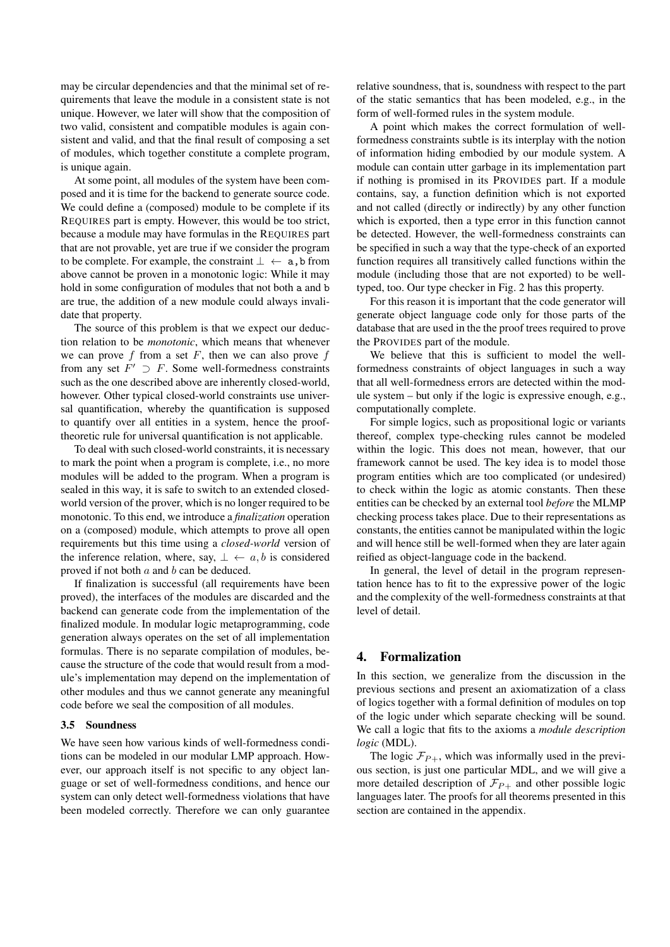may be circular dependencies and that the minimal set of requirements that leave the module in a consistent state is not unique. However, we later will show that the composition of two valid, consistent and compatible modules is again consistent and valid, and that the final result of composing a set of modules, which together constitute a complete program, is unique again.

At some point, all modules of the system have been composed and it is time for the backend to generate source code. We could define a (composed) module to be complete if its REQUIRES part is empty. However, this would be too strict, because a module may have formulas in the REQUIRES part that are not provable, yet are true if we consider the program to be complete. For example, the constraint  $\bot \leftarrow \mathsf{a}, \mathsf{b}$  from above cannot be proven in a monotonic logic: While it may hold in some configuration of modules that not both a and b are true, the addition of a new module could always invalidate that property.

The source of this problem is that we expect our deduction relation to be *monotonic*, which means that whenever we can prove f from a set  $F$ , then we can also prove f from any set  $F' \supset F$ . Some well-formedness constraints such as the one described above are inherently closed-world, however. Other typical closed-world constraints use universal quantification, whereby the quantification is supposed to quantify over all entities in a system, hence the prooftheoretic rule for universal quantification is not applicable.

To deal with such closed-world constraints, it is necessary to mark the point when a program is complete, i.e., no more modules will be added to the program. When a program is sealed in this way, it is safe to switch to an extended closedworld version of the prover, which is no longer required to be monotonic. To this end, we introduce a *finalization* operation on a (composed) module, which attempts to prove all open requirements but this time using a *closed-world* version of the inference relation, where, say,  $\bot \leftarrow a, b$  is considered proved if not both  $a$  and  $b$  can be deduced.

If finalization is successful (all requirements have been proved), the interfaces of the modules are discarded and the backend can generate code from the implementation of the finalized module. In modular logic metaprogramming, code generation always operates on the set of all implementation formulas. There is no separate compilation of modules, because the structure of the code that would result from a module's implementation may depend on the implementation of other modules and thus we cannot generate any meaningful code before we seal the composition of all modules.

#### 3.5 Soundness

We have seen how various kinds of well-formedness conditions can be modeled in our modular LMP approach. However, our approach itself is not specific to any object language or set of well-formedness conditions, and hence our system can only detect well-formedness violations that have been modeled correctly. Therefore we can only guarantee

relative soundness, that is, soundness with respect to the part of the static semantics that has been modeled, e.g., in the form of well-formed rules in the system module.

A point which makes the correct formulation of wellformedness constraints subtle is its interplay with the notion of information hiding embodied by our module system. A module can contain utter garbage in its implementation part if nothing is promised in its PROVIDES part. If a module contains, say, a function definition which is not exported and not called (directly or indirectly) by any other function which is exported, then a type error in this function cannot be detected. However, the well-formedness constraints can be specified in such a way that the type-check of an exported function requires all transitively called functions within the module (including those that are not exported) to be welltyped, too. Our type checker in Fig. 2 has this property.

For this reason it is important that the code generator will generate object language code only for those parts of the database that are used in the the proof trees required to prove the PROVIDES part of the module.

We believe that this is sufficient to model the wellformedness constraints of object languages in such a way that all well-formedness errors are detected within the module system – but only if the logic is expressive enough, e.g., computationally complete.

For simple logics, such as propositional logic or variants thereof, complex type-checking rules cannot be modeled within the logic. This does not mean, however, that our framework cannot be used. The key idea is to model those program entities which are too complicated (or undesired) to check within the logic as atomic constants. Then these entities can be checked by an external tool *before* the MLMP checking process takes place. Due to their representations as constants, the entities cannot be manipulated within the logic and will hence still be well-formed when they are later again reified as object-language code in the backend.

In general, the level of detail in the program representation hence has to fit to the expressive power of the logic and the complexity of the well-formedness constraints at that level of detail.

# 4. Formalization

In this section, we generalize from the discussion in the previous sections and present an axiomatization of a class of logics together with a formal definition of modules on top of the logic under which separate checking will be sound. We call a logic that fits to the axioms a *module description logic* (MDL).

The logic  $\mathcal{F}_{P+}$ , which was informally used in the previous section, is just one particular MDL, and we will give a more detailed description of  $\mathcal{F}_{P+}$  and other possible logic languages later. The proofs for all theorems presented in this section are contained in the appendix.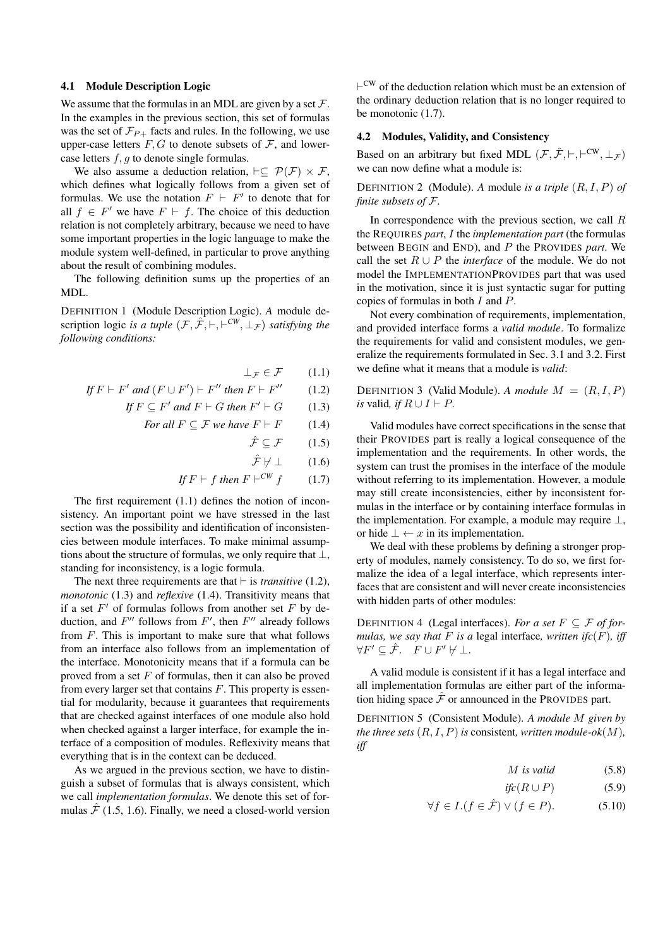#### 4.1 Module Description Logic

We assume that the formulas in an MDL are given by a set  $\mathcal{F}$ . In the examples in the previous section, this set of formulas was the set of  $\mathcal{F}_{P+}$  facts and rules. In the following, we use upper-case letters  $F, G$  to denote subsets of  $\mathcal{F}$ , and lowercase letters  $f, g$  to denote single formulas.

We also assume a deduction relation,  $\vdash \subseteq \mathcal{P}(\mathcal{F}) \times \mathcal{F}$ , which defines what logically follows from a given set of formulas. We use the notation  $F \vdash F'$  to denote that for all  $f \in F'$  we have  $F \vdash f$ . The choice of this deduction relation is not completely arbitrary, because we need to have some important properties in the logic language to make the module system well-defined, in particular to prove anything about the result of combining modules.

The following definition sums up the properties of an MDL.

DEFINITION 1 (Module Description Logic). *A* module description logic *is a tuple*  $(F, \hat{\mathcal{F}}, \vdash, \vdash^{CW}, \bot_{\mathcal{F}})$  *satisfying the following conditions:*

$$
\perp_{\mathcal{F}} \in \mathcal{F} \qquad (1.1)
$$

If 
$$
F \vdash F'
$$
 and  $(F \cup F') \vdash F''$  then  $F \vdash F''$  (1.2)  
If  $F \subset F'$  and  $F \vdash G$  then  $F' \vdash G$  (1.3)

If 
$$
F \subseteq F'
$$
 and  $F \vdash G$  then  $F' \vdash G$  (1.3)  
For all  $F \subset F$  we have  $F \vdash F$  (1.4)

$$
\text{For all } \Gamma \subseteq \mathcal{F} \text{ we have } \Gamma \sqsubset \Gamma \qquad (1.4)
$$
\n
$$
\hat{\mathcal{T}} \subseteq \mathcal{T} \qquad (1.5)
$$

$$
\mathcal{F} \subseteq \mathcal{F} \qquad (1.5)
$$

$$
\mathcal{F} \not\sqsubset \bot \qquad (1.0)
$$

$$
If F \vdash f then F \vdash^{CW} f \qquad (1.7)
$$

The first requirement (1.1) defines the notion of inconsistency. An important point we have stressed in the last section was the possibility and identification of inconsistencies between module interfaces. To make minimal assumptions about the structure of formulas, we only require that  $\perp$ , standing for inconsistency, is a logic formula.

The next three requirements are that  $\vdash$  is *transitive* (1.2), *monotonic* (1.3) and *reflexive* (1.4). Transitivity means that if a set  $F'$  of formulas follows from another set  $F$  by deduction, and  $F''$  follows from  $F'$ , then  $F''$  already follows from  $F$ . This is important to make sure that what follows from an interface also follows from an implementation of the interface. Monotonicity means that if a formula can be proved from a set  $F$  of formulas, then it can also be proved from every larger set that contains  $F$ . This property is essential for modularity, because it guarantees that requirements that are checked against interfaces of one module also hold when checked against a larger interface, for example the interface of a composition of modules. Reflexivity means that everything that is in the context can be deduced.

As we argued in the previous section, we have to distinguish a subset of formulas that is always consistent, which we call *implementation formulas*. We denote this set of formulas  $\hat{\mathcal{F}}$  (1.5, 1.6). Finally, we need a closed-world version

 $\vdash^{\text{CW}}$  of the deduction relation which must be an extension of the ordinary deduction relation that is no longer required to be monotonic (1.7).

## 4.2 Modules, Validity, and Consistency

Based on an arbitrary but fixed MDL  $(\mathcal{F}, \hat{\mathcal{F}}, \vdash, \vdash^{CW}, \bot_{\mathcal{F}})$ we can now define what a module is:

DEFINITION 2 (Module). *A* module *is a triple* (R, I, P) *of finite subsets of* F*.*

In correspondence with the previous section, we call  $R$ the REQUIRES *part*, I the *implementation part* (the formulas between BEGIN and END), and P the PROVIDES *part*. We call the set R ∪ P the *interface* of the module. We do not model the IMPLEMENTATIONPROVIDES part that was used in the motivation, since it is just syntactic sugar for putting copies of formulas in both  $I$  and  $P$ .

Not every combination of requirements, implementation, and provided interface forms a *valid module*. To formalize the requirements for valid and consistent modules, we generalize the requirements formulated in Sec. 3.1 and 3.2. First we define what it means that a module is *valid*:

DEFINITION 3 (Valid Module). A module  $M = (R, I, P)$ *is* valid, *if*  $R \cup I \vdash P$ .

Valid modules have correct specifications in the sense that their PROVIDES part is really a logical consequence of the implementation and the requirements. In other words, the system can trust the promises in the interface of the module without referring to its implementation. However, a module may still create inconsistencies, either by inconsistent formulas in the interface or by containing interface formulas in the implementation. For example, a module may require  $\perp$ , or hide  $\bot \leftarrow x$  in its implementation.

We deal with these problems by defining a stronger property of modules, namely consistency. To do so, we first formalize the idea of a legal interface, which represents interfaces that are consistent and will never create inconsistencies with hidden parts of other modules:

DEFINITION 4 (Legal interfaces). For a set  $F \subseteq \mathcal{F}$  of for*mulas, we say that*  $F$  *is a* legal interface, written ifc( $F$ ), iff  $\forall F' \subseteq \hat{\mathcal{F}}$ .  $F \cup F' \not\vdash \bot$ .

A valid module is consistent if it has a legal interface and all implementation formulas are either part of the information hiding space  $\hat{\mathcal{F}}$  or announced in the PROVIDES part.

DEFINITION 5 (Consistent Module). *A module* M *given by the three sets*  $(R, I, P)$  *is* consistent, written module-ok $(M)$ , *iff*

$$
M \t{is valid} \t(5.8)
$$

$$
\text{ifc}(R \cup P) \tag{5.9}
$$

$$
\forall f \in I. (f \in \mathcal{F}) \lor (f \in P). \tag{5.10}
$$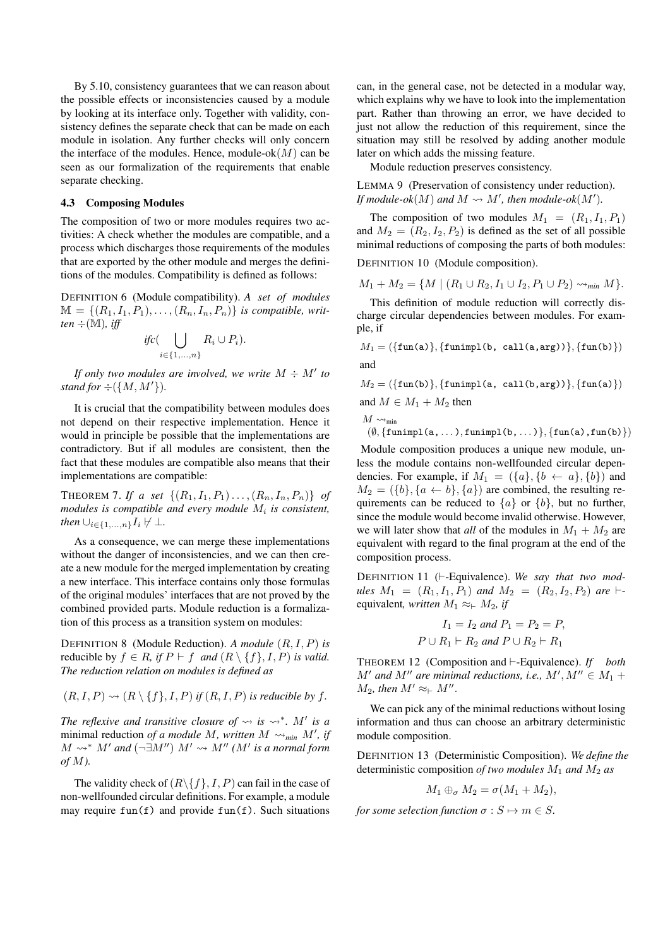By 5.10, consistency guarantees that we can reason about the possible effects or inconsistencies caused by a module by looking at its interface only. Together with validity, consistency defines the separate check that can be made on each module in isolation. Any further checks will only concern the interface of the modules. Hence, module-ok $(M)$  can be seen as our formalization of the requirements that enable separate checking.

#### 4.3 Composing Modules

The composition of two or more modules requires two activities: A check whether the modules are compatible, and a process which discharges those requirements of the modules that are exported by the other module and merges the definitions of the modules. Compatibility is defined as follows:

DEFINITION 6 (Module compatibility). *A set of modules*  $M = \{(R_1, I_1, P_1), \ldots, (R_n, I_n, P_n)\}\$ *is compatible, written*  $\div$ ( $\mathbb{M}$ )*, iff* 

$$
\text{if } c \, (\bigcup_{i \in \{1, \ldots, n\}} R_i \cup P_i).
$$

If only two modules are involved, we write  $M \div M'$  to *stand for*  $\div$  ({ $M, M'$ }).

It is crucial that the compatibility between modules does not depend on their respective implementation. Hence it would in principle be possible that the implementations are contradictory. But if all modules are consistent, then the fact that these modules are compatible also means that their implementations are compatible:

THEOREM 7. If a set  $\{(R_1, I_1, P_1) \dots, (R_n, I_n, P_n)\}\$  of *modules is compatible and every module* M<sup>i</sup> *is consistent, then*  $\bigcup_{i \in \{1,...,n\}} I_i \not\vdash \bot$ *.* 

As a consequence, we can merge these implementations without the danger of inconsistencies, and we can then create a new module for the merged implementation by creating a new interface. This interface contains only those formulas of the original modules' interfaces that are not proved by the combined provided parts. Module reduction is a formalization of this process as a transition system on modules:

DEFINITION 8 (Module Reduction). *A module* (R, I, P) *is* reducible by  $f \in R$ , if  $P \vdash f$  and  $(R \setminus \{f\}, I, P)$  is valid. *The reduction relation on modules is defined as*

$$
(R, I, P) \rightsquigarrow (R \setminus \{f\}, I, P)
$$
 if  $(R, I, P)$  is reducible by f.

*The reflexive and transitive closure of*  $\rightsquigarrow$  *is*  $\rightsquigarrow$ <sup>\*</sup>. *M' is a* minimal reduction of a module M, written  $M \rightarrow_{min} M'$ , if  $M \rightsquigarrow^* M'$  and  $(\neg \exists M'') M' \rightsquigarrow M''$  (M' is a normal form *of* M*).*

The validity check of  $(R\setminus\{f\}, I, P)$  can fail in the case of non-wellfounded circular definitions. For example, a module may require  $fun(f)$  and provide  $fun(f)$ . Such situations

can, in the general case, not be detected in a modular way, which explains why we have to look into the implementation part. Rather than throwing an error, we have decided to just not allow the reduction of this requirement, since the situation may still be resolved by adding another module later on which adds the missing feature.

Module reduction preserves consistency.

LEMMA 9 (Preservation of consistency under reduction). *If module-ok*(*M*) and  $M \rightsquigarrow M'$ , then module-ok(*M'*).

The composition of two modules  $M_1 = (R_1, I_1, P_1)$ and  $M_2 = (R_2, I_2, P_2)$  is defined as the set of all possible minimal reductions of composing the parts of both modules:

DEFINITION 10 (Module composition).

$$
M_1 + M_2 = \{ M \mid (R_1 \cup R_2, I_1 \cup I_2, P_1 \cup P_2) \rightsquigarrow_{min} M \}.
$$

This definition of module reduction will correctly discharge circular dependencies between modules. For example, if

 $M_1 = (\{\text{fun(a)}\}, \{\text{funimpl(b, call(a,arg))}\}, \{\text{fun(b)}\})$ and

$$
M_2 = (\{\text{fun(b)}\}, \{\text{funimp1(a, call(b,arg))}\}, \{\text{fun(a)}\})
$$
  
and  $M \in M_1 + M_2$  then

$$
M\leadsto_{\min}
$$

 $(\emptyset, \{\texttt{funimpl}(a, \dots), \texttt{funimpl}(b, \dots)\}, \{\texttt{fun}(a), \texttt{fun}(b)\})$ 

Module composition produces a unique new module, unless the module contains non-wellfounded circular dependencies. For example, if  $M_1 = (\{a\}, \{b \leftarrow a\}, \{b\})$  and  $M_2 = (\{b\}, \{a \leftarrow b\}, \{a\})$  are combined, the resulting requirements can be reduced to  $\{a\}$  or  $\{b\}$ , but no further, since the module would become invalid otherwise. However, we will later show that *all* of the modules in  $M_1 + M_2$  are equivalent with regard to the final program at the end of the composition process.

DEFINITION 11 (-Equivalence). We say that two mod*ules*  $M_1 = (R_1, I_1, P_1)$  *and*  $M_2 = (R_2, I_2, P_2)$  *are*  $\vdash$ equivalent, written  $M_1 \approx_{\vdash} M_2$ , if

$$
I_1 = I_2 \text{ and } P_1 = P_2 = P,
$$
  

$$
P \cup R_1 \vdash R_2 \text{ and } P \cup R_2 \vdash R_1
$$

THEOREM 12 (Composition and  $\vdash$ -Equivalence). *If both*  $M'$  and  $M''$  are minimal reductions, i.e.,  $M', M'' \in M_1 +$  $M_2$ , then  $M' \approx_{\vdash} M''$ .

We can pick any of the minimal reductions without losing information and thus can choose an arbitrary deterministic module composition.

DEFINITION 13 (Deterministic Composition). *We define the* deterministic composition *of two modules*  $M_1$  *and*  $M_2$  *as* 

$$
M_1 \oplus_{\sigma} M_2 = \sigma(M_1 + M_2),
$$

*for some selection function*  $\sigma : S \mapsto m \in S$ *.*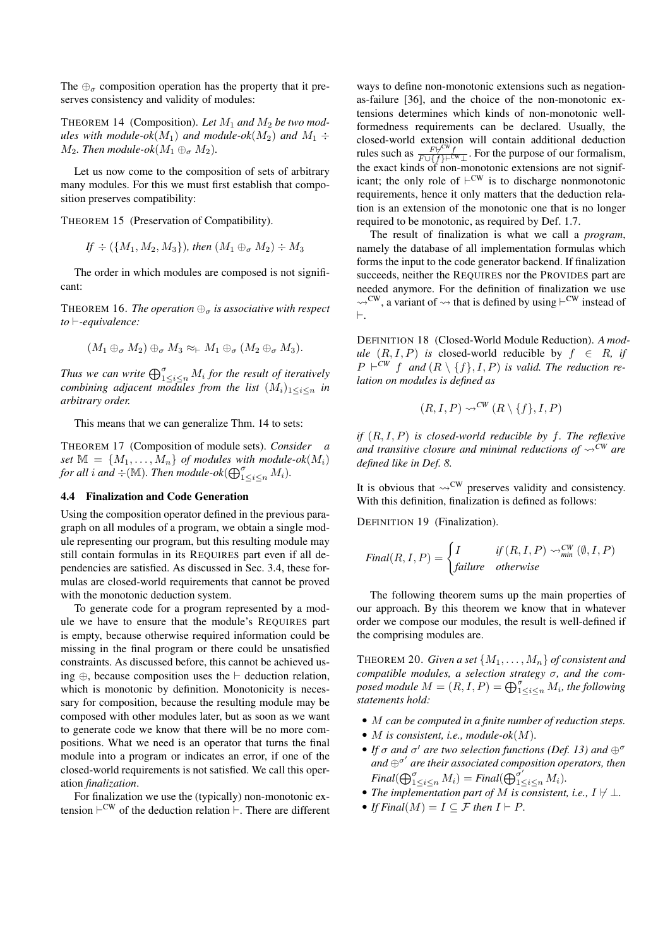The  $\oplus_{\sigma}$  composition operation has the property that it preserves consistency and validity of modules:

THEOREM 14 (Composition). Let  $M_1$  and  $M_2$  be two mod*ules with module-ok*( $M_1$ ) *and module-ok*( $M_2$ ) *and*  $M_1 \div$  $M_2$ *. Then module-ok*( $M_1 \oplus_{\sigma} M_2$ )*.* 

Let us now come to the composition of sets of arbitrary many modules. For this we must first establish that composition preserves compatibility:

THEOREM 15 (Preservation of Compatibility).

$$
If \div (\{M_1, M_2, M_3\}), then (M_1 \oplus_{\sigma} M_2) \div M_3
$$

The order in which modules are composed is not significant:

THEOREM 16. *The operation*  $\bigoplus_{\sigma}$  *is associative with respect to* `*-equivalence:*

$$
(M_1 \oplus_{\sigma} M_2) \oplus_{\sigma} M_3 \approx_{\vdash} M_1 \oplus_{\sigma} (M_2 \oplus_{\sigma} M_3).
$$

*Thus we can write*  $\bigoplus_{1 \leq i \leq n}^{\sigma} M_i$  *for the result of iteratively combining adjacent modules from the list*  $(M_i)_{1 \leq i \leq n}$  *in arbitrary order.*

This means that we can generalize Thm. 14 to sets:

THEOREM 17 (Composition of module sets). *Consider a set*  $\mathbb{M} = \{M_1, \ldots, M_n\}$  *of modules with module-ok* $(M_i)$ for all i and  $\div(\mathbb{M})$ . Then module-ok $(\bigoplus_{1\leq i\leq n}^{\sigma}M_i)$ .

## 4.4 Finalization and Code Generation

Using the composition operator defined in the previous paragraph on all modules of a program, we obtain a single module representing our program, but this resulting module may still contain formulas in its REQUIRES part even if all dependencies are satisfied. As discussed in Sec. 3.4, these formulas are closed-world requirements that cannot be proved with the monotonic deduction system.

To generate code for a program represented by a module we have to ensure that the module's REQUIRES part is empty, because otherwise required information could be missing in the final program or there could be unsatisfied constraints. As discussed before, this cannot be achieved using  $\oplus$ , because composition uses the  $\vdash$  deduction relation, which is monotonic by definition. Monotonicity is necessary for composition, because the resulting module may be composed with other modules later, but as soon as we want to generate code we know that there will be no more compositions. What we need is an operator that turns the final module into a program or indicates an error, if one of the closed-world requirements is not satisfied. We call this operation *finalization*.

For finalization we use the (typically) non-monotonic extension  $\vdash^{CW}$  of the deduction relation  $\vdash$ . There are different

ways to define non-monotonic extensions such as negationas-failure [36], and the choice of the non-monotonic extensions determines which kinds of non-monotonic wellformedness requirements can be declared. Usually, the closed-world extension will contain additional deduction rules such as  $\frac{F\psi^{CW}f}{F\cup\{f\}^{+\text{CW}}\perp}$ . For the purpose of our formalism, the exact kinds of non-monotonic extensions are not significant; the only role of  $\vdash^{\text{CW}}$  is to discharge nonmonotonic requirements, hence it only matters that the deduction relation is an extension of the monotonic one that is no longer required to be monotonic, as required by Def. 1.7.

The result of finalization is what we call a *program*, namely the database of all implementation formulas which forms the input to the code generator backend. If finalization succeeds, neither the REQUIRES nor the PROVIDES part are needed anymore. For the definition of finalization we use  $\rightsquigarrow^{\text{CW}}$ , a variant of  $\rightsquigarrow$  that is defined by using  $\vdash^{\text{CW}}$  instead of `.

DEFINITION 18 (Closed-World Module Reduction). *A module*  $(R, I, P)$  *is* closed-world reducible by  $f \in R$ , *if*  $P \vdash^{CW} f$  and  $(R \setminus \{f\}, I, P)$  is valid. The reduction re*lation on modules is defined as*

$$
(R, I, P) \rightsquigarrow^{CW} (R \setminus \{f\}, I, P)
$$

*if* (R, I, P) *is closed-world reducible by* f*. The reflexive and transitive closure and minimal reductions of*  $\sim^{\mathcal{C}W}$  are *defined like in Def. 8.*

It is obvious that  $\sim^{\mathcal{C}W}$  preserves validity and consistency. With this definition, finalization is defined as follows:

DEFINITION 19 (Finalization).

$$
Final(R, I, P) = \begin{cases} I & \text{if } (R, I, P) \rightsquigarrow_{\text{min}}^{CW} (\emptyset, I, P) \\ \text{failure} & \text{otherwise} \end{cases}
$$

The following theorem sums up the main properties of our approach. By this theorem we know that in whatever order we compose our modules, the result is well-defined if the comprising modules are.

THEOREM 20. *Given a set*  $\{M_1, \ldots, M_n\}$  *of consistent and compatible modules, a selection strategy* σ*, and the com*posed module  $M = (R, I, P) = \bigoplus_{1 \leq i \leq n}^{\sigma} M_i$ , the following *statements hold:*

- M *can be computed in a finite number of reduction steps.*
- M *is consistent, i.e., module-ok*(M)*.*
- If  $\sigma$  and  $\sigma'$  are two selection functions (Def. 13) and  $\oplus^{\sigma}$ *and* ⊕<sup>σ</sup> 0 *are their associated composition operators, then*  $Final(\bigoplus_{1 \leq i \leq n}^{\sigma} M_i) = Final(\bigoplus_{1 \leq i \leq n}^{\sigma'} M_i).$
- The implementation part of M is  $\overline{consistent}$ , i.e.,  $I \not\vdash \bot$ .
- *If Final*( $M$ ) =  $I \subseteq \mathcal{F}$  *then*  $I \vdash P$ *.*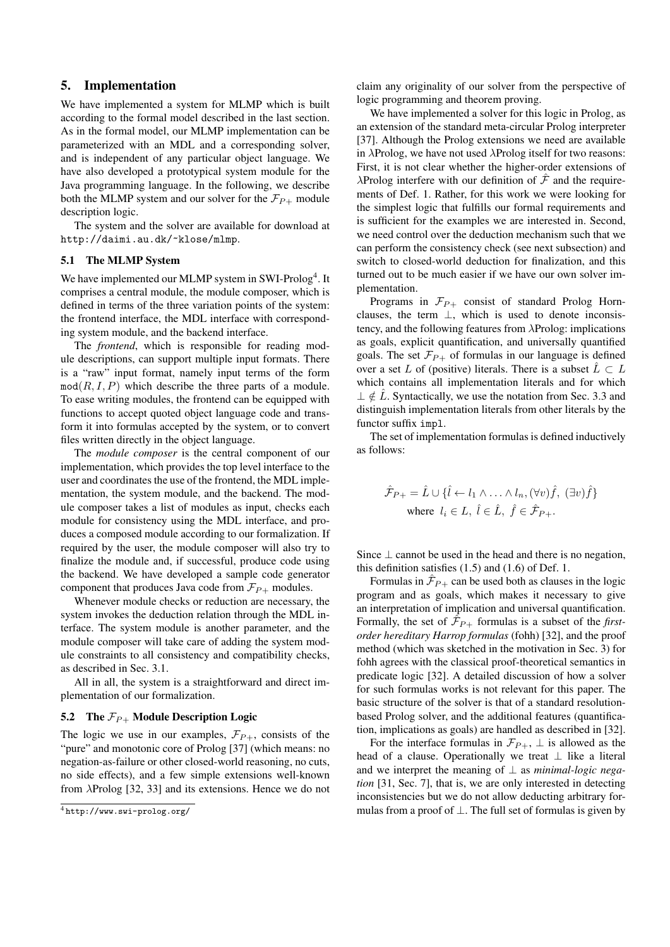## 5. Implementation

We have implemented a system for MLMP which is built according to the formal model described in the last section. As in the formal model, our MLMP implementation can be parameterized with an MDL and a corresponding solver, and is independent of any particular object language. We have also developed a prototypical system module for the Java programming language. In the following, we describe both the MLMP system and our solver for the  $\mathcal{F}_{P+}$  module description logic.

The system and the solver are available for download at http://daimi.au.dk/~klose/mlmp.

## 5.1 The MLMP System

We have implemented our MLMP system in SWI-Prolog<sup>4</sup>. It comprises a central module, the module composer, which is defined in terms of the three variation points of the system: the frontend interface, the MDL interface with corresponding system module, and the backend interface.

The *frontend*, which is responsible for reading module descriptions, can support multiple input formats. There is a "raw" input format, namely input terms of the form  $mod(R, I, P)$  which describe the three parts of a module. To ease writing modules, the frontend can be equipped with functions to accept quoted object language code and transform it into formulas accepted by the system, or to convert files written directly in the object language.

The *module composer* is the central component of our implementation, which provides the top level interface to the user and coordinates the use of the frontend, the MDL implementation, the system module, and the backend. The module composer takes a list of modules as input, checks each module for consistency using the MDL interface, and produces a composed module according to our formalization. If required by the user, the module composer will also try to finalize the module and, if successful, produce code using the backend. We have developed a sample code generator component that produces Java code from  $\mathcal{F}_{P+}$  modules.

Whenever module checks or reduction are necessary, the system invokes the deduction relation through the MDL interface. The system module is another parameter, and the module composer will take care of adding the system module constraints to all consistency and compatibility checks, as described in Sec. 3.1.

All in all, the system is a straightforward and direct implementation of our formalization.

## 5.2 The  $\mathcal{F}_{P+}$  Module Description Logic

The logic we use in our examples,  $\mathcal{F}_{P+}$ , consists of the "pure" and monotonic core of Prolog [37] (which means: no negation-as-failure or other closed-world reasoning, no cuts, no side effects), and a few simple extensions well-known from λProlog [32, 33] and its extensions. Hence we do not

claim any originality of our solver from the perspective of logic programming and theorem proving.

We have implemented a solver for this logic in Prolog, as an extension of the standard meta-circular Prolog interpreter [37]. Although the Prolog extensions we need are available in  $\lambda$ Prolog, we have not used  $\lambda$ Prolog itself for two reasons: First, it is not clear whether the higher-order extensions of  $\lambda$ Prolog interfere with our definition of  $\hat{\mathcal{F}}$  and the requirements of Def. 1. Rather, for this work we were looking for the simplest logic that fulfills our formal requirements and is sufficient for the examples we are interested in. Second, we need control over the deduction mechanism such that we can perform the consistency check (see next subsection) and switch to closed-world deduction for finalization, and this turned out to be much easier if we have our own solver implementation.

Programs in  $\mathcal{F}_{P+}$  consist of standard Prolog Hornclauses, the term  $\perp$ , which is used to denote inconsistency, and the following features from  $\lambda$ Prolog: implications as goals, explicit quantification, and universally quantified goals. The set  $\mathcal{F}_{P+}$  of formulas in our language is defined over a set L of (positive) literals. There is a subset  $\hat{L} \subset L$ which contains all implementation literals and for which  $\perp \notin L$ . Syntactically, we use the notation from Sec. 3.3 and distinguish implementation literals from other literals by the functor suffix impl.

The set of implementation formulas is defined inductively as follows:

$$
\hat{\mathcal{F}}_{P+} = \hat{L} \cup \{\hat{l} \leftarrow l_1 \land \dots \land l_n, (\forall v)\hat{f}, (\exists v)\hat{f}\}
$$
  
where  $l_i \in L, \hat{l} \in \hat{L}, \hat{f} \in \hat{\mathcal{F}}_{P+}.$ 

Since  $\perp$  cannot be used in the head and there is no negation, this definition satisfies (1.5) and (1.6) of Def. 1.

Formulas in  $\hat{\mathcal{F}}_{P+}$  can be used both as clauses in the logic program and as goals, which makes it necessary to give an interpretation of implication and universal quantification. Formally, the set of  $\hat{\mathcal{F}}_{P+}$  formulas is a subset of the *firstorder hereditary Harrop formulas* (fohh) [32], and the proof method (which was sketched in the motivation in Sec. 3) for fohh agrees with the classical proof-theoretical semantics in predicate logic [32]. A detailed discussion of how a solver for such formulas works is not relevant for this paper. The basic structure of the solver is that of a standard resolutionbased Prolog solver, and the additional features (quantification, implications as goals) are handled as described in [32].

For the interface formulas in  $\mathcal{F}_{P+}$ ,  $\perp$  is allowed as the head of a clause. Operationally we treat  $\perp$  like a literal and we interpret the meaning of ⊥ as *minimal-logic negation* [31, Sec. 7], that is, we are only interested in detecting inconsistencies but we do not allow deducting arbitrary formulas from a proof of  $\perp$ . The full set of formulas is given by

<sup>4</sup> http://www.swi-prolog.org/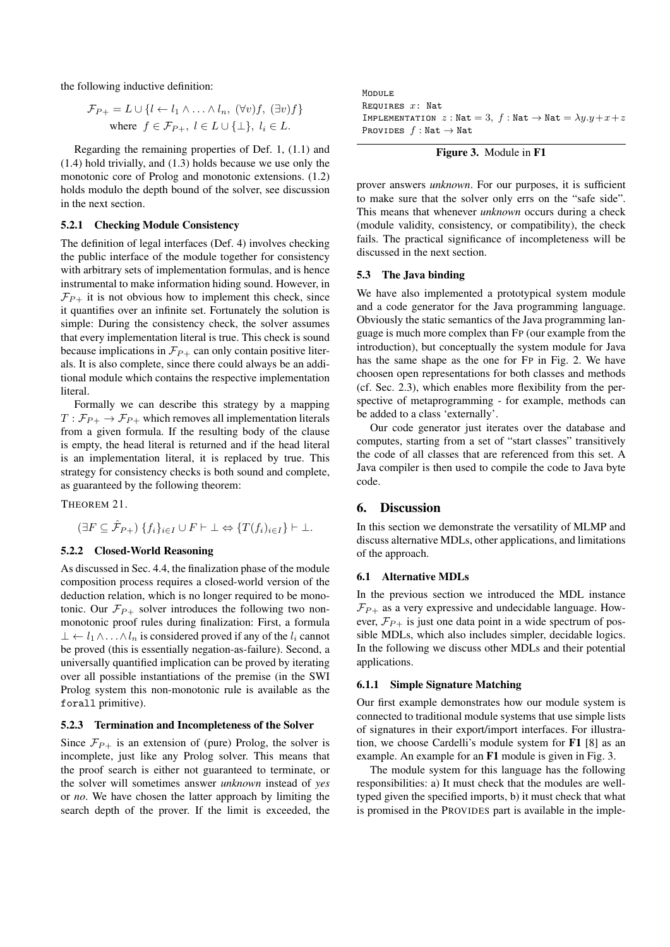the following inductive definition:

$$
\mathcal{F}_{P+} = L \cup \{l \leftarrow l_1 \land \dots \land l_n, \ (\forall v)f, \ (\exists v)f\}
$$
  
where  $f \in \mathcal{F}_{P+}, \ l \in L \cup \{\bot\}, \ l_i \in L.$ 

Regarding the remaining properties of Def. 1, (1.1) and (1.4) hold trivially, and (1.3) holds because we use only the monotonic core of Prolog and monotonic extensions. (1.2) holds modulo the depth bound of the solver, see discussion in the next section.

#### 5.2.1 Checking Module Consistency

The definition of legal interfaces (Def. 4) involves checking the public interface of the module together for consistency with arbitrary sets of implementation formulas, and is hence instrumental to make information hiding sound. However, in  $\mathcal{F}_{P+}$  it is not obvious how to implement this check, since it quantifies over an infinite set. Fortunately the solution is simple: During the consistency check, the solver assumes that every implementation literal is true. This check is sound because implications in  $\mathcal{F}_{P+}$  can only contain positive literals. It is also complete, since there could always be an additional module which contains the respective implementation literal.

Formally we can describe this strategy by a mapping  $T: \mathcal{F}_{P+} \to \mathcal{F}_{P+}$  which removes all implementation literals from a given formula. If the resulting body of the clause is empty, the head literal is returned and if the head literal is an implementation literal, it is replaced by true. This strategy for consistency checks is both sound and complete, as guaranteed by the following theorem:

THEOREM 21.

$$
(\exists F \subseteq \hat{\mathcal{F}}_{P+}) \{f_i\}_{i \in I} \cup F \vdash \bot \Leftrightarrow \{T(f_i)_{i \in I}\}\vdash \bot.
$$

#### 5.2.2 Closed-World Reasoning

As discussed in Sec. 4.4, the finalization phase of the module composition process requires a closed-world version of the deduction relation, which is no longer required to be monotonic. Our  $\mathcal{F}_{P+}$  solver introduces the following two nonmonotonic proof rules during finalization: First, a formula  $\bot \leftarrow l_1 \wedge \ldots \wedge l_n$  is considered proved if any of the  $l_i$  cannot be proved (this is essentially negation-as-failure). Second, a universally quantified implication can be proved by iterating over all possible instantiations of the premise (in the SWI Prolog system this non-monotonic rule is available as the forall primitive).

#### 5.2.3 Termination and Incompleteness of the Solver

Since  $\mathcal{F}_{P+}$  is an extension of (pure) Prolog, the solver is incomplete, just like any Prolog solver. This means that the proof search is either not guaranteed to terminate, or the solver will sometimes answer *unknown* instead of *yes* or *no*. We have chosen the latter approach by limiting the search depth of the prover. If the limit is exceeded, the Module REQUIRES  $x$ : Nat IMPLEMENTATION  $z : \text{Nat} = 3$ ,  $f : \text{Nat} \rightarrow \text{Nat} = \lambda y \cdot y + x + z$ PROVIDES  $f : Nat \rightarrow Nat$ 



prover answers *unknown*. For our purposes, it is sufficient to make sure that the solver only errs on the "safe side". This means that whenever *unknown* occurs during a check (module validity, consistency, or compatibility), the check fails. The practical significance of incompleteness will be discussed in the next section.

## 5.3 The Java binding

We have also implemented a prototypical system module and a code generator for the Java programming language. Obviously the static semantics of the Java programming language is much more complex than FP (our example from the introduction), but conceptually the system module for Java has the same shape as the one for FP in Fig. 2. We have choosen open representations for both classes and methods (cf. Sec. 2.3), which enables more flexibility from the perspective of metaprogramming - for example, methods can be added to a class 'externally'.

Our code generator just iterates over the database and computes, starting from a set of "start classes" transitively the code of all classes that are referenced from this set. A Java compiler is then used to compile the code to Java byte code.

## 6. Discussion

In this section we demonstrate the versatility of MLMP and discuss alternative MDLs, other applications, and limitations of the approach.

## 6.1 Alternative MDLs

In the previous section we introduced the MDL instance  $\mathcal{F}_{P+}$  as a very expressive and undecidable language. However,  $\mathcal{F}_{P+}$  is just one data point in a wide spectrum of possible MDLs, which also includes simpler, decidable logics. In the following we discuss other MDLs and their potential applications.

#### 6.1.1 Simple Signature Matching

Our first example demonstrates how our module system is connected to traditional module systems that use simple lists of signatures in their export/import interfaces. For illustration, we choose Cardelli's module system for F1 [8] as an example. An example for an F1 module is given in Fig. 3.

The module system for this language has the following responsibilities: a) It must check that the modules are welltyped given the specified imports, b) it must check that what is promised in the PROVIDES part is available in the imple-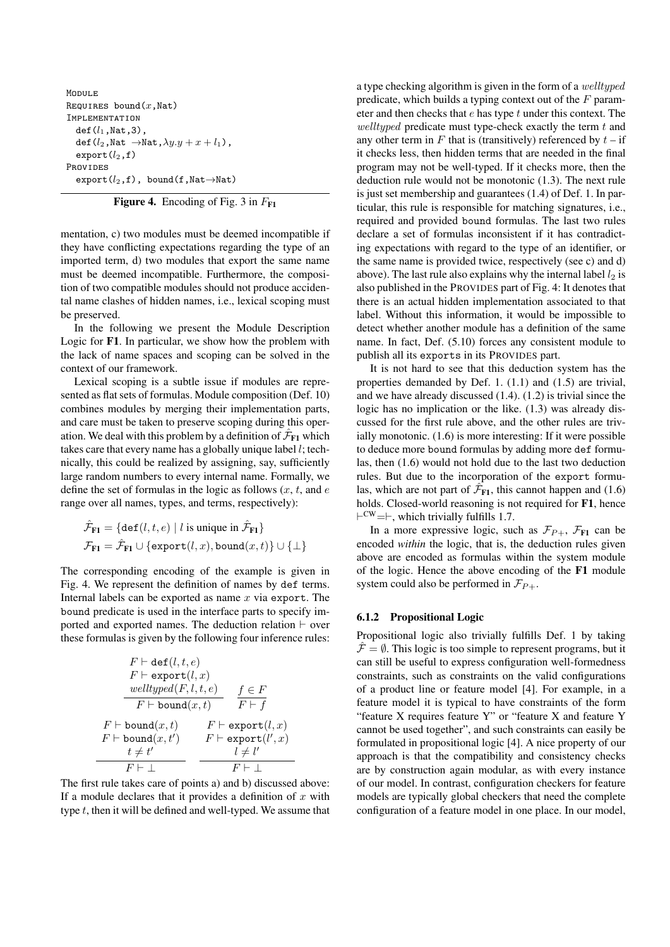```
MODILE<sub>R</sub>
REQUIRES bound(x, \text{Nat})Implementation
   def(l<sub>1</sub>,Nat,3),
   def(l_2, Nat \rightarrowNat, \lambda y. y + x + l_1),
   \text{export}(l_2, f)Provides
   \text{export}(l_2, f), bound(f,Nat\rightarrowNat)
```


mentation, c) two modules must be deemed incompatible if they have conflicting expectations regarding the type of an imported term, d) two modules that export the same name must be deemed incompatible. Furthermore, the composition of two compatible modules should not produce accidental name clashes of hidden names, i.e., lexical scoping must be preserved.

In the following we present the Module Description Logic for F1. In particular, we show how the problem with the lack of name spaces and scoping can be solved in the context of our framework.

Lexical scoping is a subtle issue if modules are represented as flat sets of formulas. Module composition (Def. 10) combines modules by merging their implementation parts, and care must be taken to preserve scoping during this operation. We deal with this problem by a definition of  $\hat{\mathcal{F}}_{F1}$  which takes care that every name has a globally unique label  $l$ ; technically, this could be realized by assigning, say, sufficiently large random numbers to every internal name. Formally, we define the set of formulas in the logic as follows  $(x, t, \text{ and } e)$ range over all names, types, and terms, respectively):

$$
\hat{\mathcal{F}}_{\mathbf{F1}} = \{ \det(l, t, e) \mid l \text{ is unique in } \hat{\mathcal{F}}_{\mathbf{F1}} \}
$$

$$
\mathcal{F}_{\mathbf{F1}} = \hat{\mathcal{F}}_{\mathbf{F1}} \cup \{ \text{export}(l, x), \text{bound}(x, t) \} \cup \{ \bot \}
$$

The corresponding encoding of the example is given in Fig. 4. We represent the definition of names by def terms. Internal labels can be exported as name  $x$  via export. The bound predicate is used in the interface parts to specify imported and exported names. The deduction relation  $\vdash$  over these formulas is given by the following four inference rules:

$$
\begin{array}{l} F \vdash \mathtt{def}(l,t,e) \\ F \vdash \mathtt{export}(l,x) \\ \hline \textit{well typed}(F,l,t,e) \\ \hline \textit{F} \vdash \mathtt{bound}(x,t) \end{array} \quad \begin{array}{l} f \in F \\ \hline \textit{F} \vdash f \end{array} \\ F \vdash \mathtt{bound}(x,t) \qquad F \vdash \mathtt{export}(l,x) \\ F \vdash \mathtt{bound}(x,t') \qquad F \vdash \mathtt{export}(l',x) \\ t \neq t' \\ \hline \textit{F} \vdash \bot \end{array}
$$

The first rule takes care of points a) and b) discussed above: If a module declares that it provides a definition of  $x$  with type t, then it will be defined and well-typed. We assume that a type checking algorithm is given in the form of a *welltyped* predicate, which builds a typing context out of the  $F$  parameter and then checks that  $e$  has type  $t$  under this context. The welltyped predicate must type-check exactly the term  $t$  and any other term in  $F$  that is (transitively) referenced by  $t - if$ it checks less, then hidden terms that are needed in the final program may not be well-typed. If it checks more, then the deduction rule would not be monotonic (1.3). The next rule is just set membership and guarantees (1.4) of Def. 1. In particular, this rule is responsible for matching signatures, i.e., required and provided bound formulas. The last two rules declare a set of formulas inconsistent if it has contradicting expectations with regard to the type of an identifier, or the same name is provided twice, respectively (see c) and d) above). The last rule also explains why the internal label  $l_2$  is also published in the PROVIDES part of Fig. 4: It denotes that there is an actual hidden implementation associated to that label. Without this information, it would be impossible to detect whether another module has a definition of the same name. In fact, Def. (5.10) forces any consistent module to publish all its exports in its PROVIDES part.

It is not hard to see that this deduction system has the properties demanded by Def. 1. (1.1) and (1.5) are trivial, and we have already discussed (1.4). (1.2) is trivial since the logic has no implication or the like.  $(1.3)$  was already discussed for the first rule above, and the other rules are trivially monotonic. (1.6) is more interesting: If it were possible to deduce more bound formulas by adding more def formulas, then (1.6) would not hold due to the last two deduction rules. But due to the incorporation of the export formulas, which are not part of  $\mathcal{F}_{F1}$ , this cannot happen and (1.6) holds. Closed-world reasoning is not required for F1, hence  $\vdash^{\text{CW}} = \vdash$ , which trivially fulfills 1.7.

In a more expressive logic, such as  $\mathcal{F}_{P+}$ ,  $\mathcal{F}_{F1}$  can be encoded *within* the logic, that is, the deduction rules given above are encoded as formulas within the system module of the logic. Hence the above encoding of the F1 module system could also be performed in  $\mathcal{F}_{P+}$ .

#### 6.1.2 Propositional Logic

Propositional logic also trivially fulfills Def. 1 by taking  $\mathcal{F} = \emptyset$ . This logic is too simple to represent programs, but it can still be useful to express configuration well-formedness constraints, such as constraints on the valid configurations of a product line or feature model [4]. For example, in a feature model it is typical to have constraints of the form "feature X requires feature Y" or "feature X and feature Y cannot be used together", and such constraints can easily be formulated in propositional logic [4]. A nice property of our approach is that the compatibility and consistency checks are by construction again modular, as with every instance of our model. In contrast, configuration checkers for feature models are typically global checkers that need the complete configuration of a feature model in one place. In our model,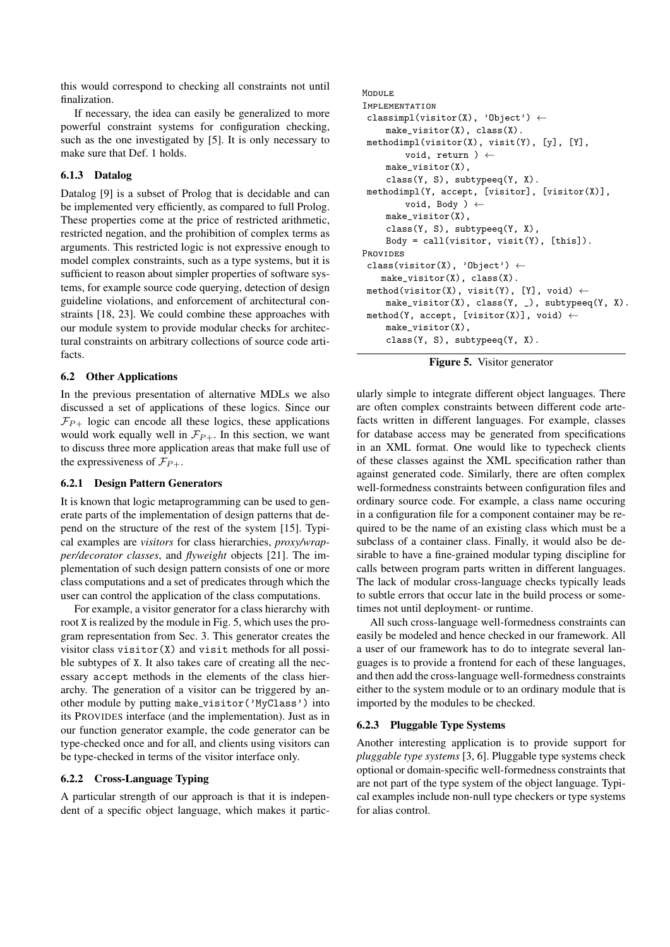this would correspond to checking all constraints not until finalization.

If necessary, the idea can easily be generalized to more powerful constraint systems for configuration checking, such as the one investigated by [5]. It is only necessary to make sure that Def. 1 holds.

## 6.1.3 Datalog

Datalog [9] is a subset of Prolog that is decidable and can be implemented very efficiently, as compared to full Prolog. These properties come at the price of restricted arithmetic, restricted negation, and the prohibition of complex terms as arguments. This restricted logic is not expressive enough to model complex constraints, such as a type systems, but it is sufficient to reason about simpler properties of software systems, for example source code querying, detection of design guideline violations, and enforcement of architectural constraints [18, 23]. We could combine these approaches with our module system to provide modular checks for architectural constraints on arbitrary collections of source code artifacts.

## 6.2 Other Applications

In the previous presentation of alternative MDLs we also discussed a set of applications of these logics. Since our  $\mathcal{F}_{P+}$  logic can encode all these logics, these applications would work equally well in  $\mathcal{F}_{P+}$ . In this section, we want to discuss three more application areas that make full use of the expressiveness of  $\mathcal{F}_{P+}$ .

## 6.2.1 Design Pattern Generators

It is known that logic metaprogramming can be used to generate parts of the implementation of design patterns that depend on the structure of the rest of the system [15]. Typical examples are *visitors* for class hierarchies, *proxy/wrapper/decorator classes*, and *flyweight* objects [21]. The implementation of such design pattern consists of one or more class computations and a set of predicates through which the user can control the application of the class computations.

For example, a visitor generator for a class hierarchy with root X is realized by the module in Fig. 5, which uses the program representation from Sec. 3. This generator creates the visitor class visitor(X) and visit methods for all possible subtypes of X. It also takes care of creating all the necessary accept methods in the elements of the class hierarchy. The generation of a visitor can be triggered by another module by putting make\_visitor('MyClass') into its PROVIDES interface (and the implementation). Just as in our function generator example, the code generator can be type-checked once and for all, and clients using visitors can be type-checked in terms of the visitor interface only.

# 6.2.2 Cross-Language Typing

A particular strength of our approach is that it is independent of a specific object language, which makes it partic-

```
Module<sub>R</sub>
Implementation
classimpl(visitor(X), 'Object') \leftarrowmake_visitor(X), class(X).
methodimpl(visitor(X), visit(Y), [y], [Y],
        void, return ) \leftarrowmake_visitor(X),
     class(Y, S), subtypeeq(Y, X).
methodimpl(Y, accept, [visitor], [visitor(X)],
        void, Body ) \leftarrowmake_visitor(X),
     class(Y, S), subtypeeq(Y, X),
    Body = call(visitor, visit(Y), [this]).
PROVIDES
class(visitor(X), 'Object') \leftarrowmake_visitor(X), class(X).
method(visitor(X), visit(Y), [Y], void) \leftarrowmake_visitor(X), class(Y, _{-}), subtypeeq(Y, X).
method(Y, accept, [visitor(X)], void) \leftarrowmake_visitor(X),
     class(Y, S), subtypeeq(Y, X).
```


ularly simple to integrate different object languages. There are often complex constraints between different code artefacts written in different languages. For example, classes for database access may be generated from specifications in an XML format. One would like to typecheck clients of these classes against the XML specification rather than against generated code. Similarly, there are often complex well-formedness constraints between configuration files and ordinary source code. For example, a class name occuring in a configuration file for a component container may be required to be the name of an existing class which must be a subclass of a container class. Finally, it would also be desirable to have a fine-grained modular typing discipline for calls between program parts written in different languages. The lack of modular cross-language checks typically leads to subtle errors that occur late in the build process or sometimes not until deployment- or runtime.

All such cross-language well-formedness constraints can easily be modeled and hence checked in our framework. All a user of our framework has to do to integrate several languages is to provide a frontend for each of these languages, and then add the cross-language well-formedness constraints either to the system module or to an ordinary module that is imported by the modules to be checked.

# 6.2.3 Pluggable Type Systems

Another interesting application is to provide support for *pluggable type systems* [3, 6]. Pluggable type systems check optional or domain-specific well-formedness constraints that are not part of the type system of the object language. Typical examples include non-null type checkers or type systems for alias control.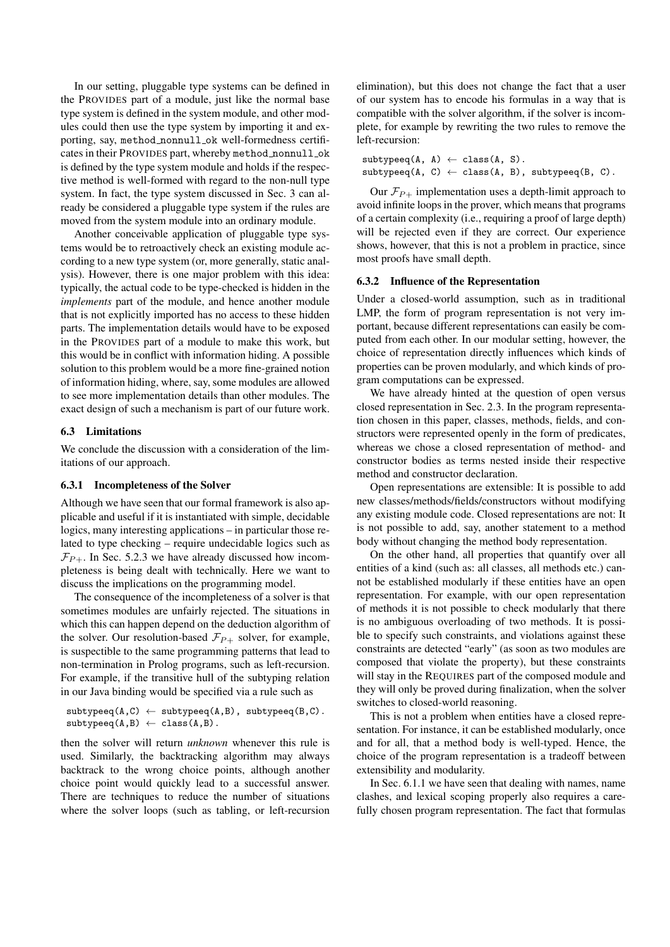In our setting, pluggable type systems can be defined in the PROVIDES part of a module, just like the normal base type system is defined in the system module, and other modules could then use the type system by importing it and exporting, say, method nonnull ok well-formedness certificates in their PROVIDES part, whereby method nonnull ok is defined by the type system module and holds if the respective method is well-formed with regard to the non-null type system. In fact, the type system discussed in Sec. 3 can already be considered a pluggable type system if the rules are moved from the system module into an ordinary module.

Another conceivable application of pluggable type systems would be to retroactively check an existing module according to a new type system (or, more generally, static analysis). However, there is one major problem with this idea: typically, the actual code to be type-checked is hidden in the *implements* part of the module, and hence another module that is not explicitly imported has no access to these hidden parts. The implementation details would have to be exposed in the PROVIDES part of a module to make this work, but this would be in conflict with information hiding. A possible solution to this problem would be a more fine-grained notion of information hiding, where, say, some modules are allowed to see more implementation details than other modules. The exact design of such a mechanism is part of our future work.

#### 6.3 Limitations

We conclude the discussion with a consideration of the limitations of our approach.

#### 6.3.1 Incompleteness of the Solver

Although we have seen that our formal framework is also applicable and useful if it is instantiated with simple, decidable logics, many interesting applications – in particular those related to type checking – require undecidable logics such as  $\mathcal{F}_{P+}$ . In Sec. 5.2.3 we have already discussed how incompleteness is being dealt with technically. Here we want to discuss the implications on the programming model.

The consequence of the incompleteness of a solver is that sometimes modules are unfairly rejected. The situations in which this can happen depend on the deduction algorithm of the solver. Our resolution-based  $\mathcal{F}_{P+}$  solver, for example, is suspectible to the same programming patterns that lead to non-termination in Prolog programs, such as left-recursion. For example, if the transitive hull of the subtyping relation in our Java binding would be specified via a rule such as

```
subtypeeq(A,C) \leftarrow subtypeeq(A,B), subtypeeq(B,C).
subtypeeq(A,B) \leftarrow class(A,B).
```
then the solver will return *unknown* whenever this rule is used. Similarly, the backtracking algorithm may always backtrack to the wrong choice points, although another choice point would quickly lead to a successful answer. There are techniques to reduce the number of situations where the solver loops (such as tabling, or left-recursion

elimination), but this does not change the fact that a user of our system has to encode his formulas in a way that is compatible with the solver algorithm, if the solver is incomplete, for example by rewriting the two rules to remove the left-recursion:

```
subtypeeq(A, A) \leftarrow class(A, S).
subtypeeq(A, C) \leftarrow class(A, B), subtypeeq(B, C).
```
Our  $\mathcal{F}_{P+}$  implementation uses a depth-limit approach to avoid infinite loops in the prover, which means that programs of a certain complexity (i.e., requiring a proof of large depth) will be rejected even if they are correct. Our experience shows, however, that this is not a problem in practice, since most proofs have small depth.

#### 6.3.2 Influence of the Representation

Under a closed-world assumption, such as in traditional LMP, the form of program representation is not very important, because different representations can easily be computed from each other. In our modular setting, however, the choice of representation directly influences which kinds of properties can be proven modularly, and which kinds of program computations can be expressed.

We have already hinted at the question of open versus closed representation in Sec. 2.3. In the program representation chosen in this paper, classes, methods, fields, and constructors were represented openly in the form of predicates, whereas we chose a closed representation of method- and constructor bodies as terms nested inside their respective method and constructor declaration.

Open representations are extensible: It is possible to add new classes/methods/fields/constructors without modifying any existing module code. Closed representations are not: It is not possible to add, say, another statement to a method body without changing the method body representation.

On the other hand, all properties that quantify over all entities of a kind (such as: all classes, all methods etc.) cannot be established modularly if these entities have an open representation. For example, with our open representation of methods it is not possible to check modularly that there is no ambiguous overloading of two methods. It is possible to specify such constraints, and violations against these constraints are detected "early" (as soon as two modules are composed that violate the property), but these constraints will stay in the REQUIRES part of the composed module and they will only be proved during finalization, when the solver switches to closed-world reasoning.

This is not a problem when entities have a closed representation. For instance, it can be established modularly, once and for all, that a method body is well-typed. Hence, the choice of the program representation is a tradeoff between extensibility and modularity.

In Sec. 6.1.1 we have seen that dealing with names, name clashes, and lexical scoping properly also requires a carefully chosen program representation. The fact that formulas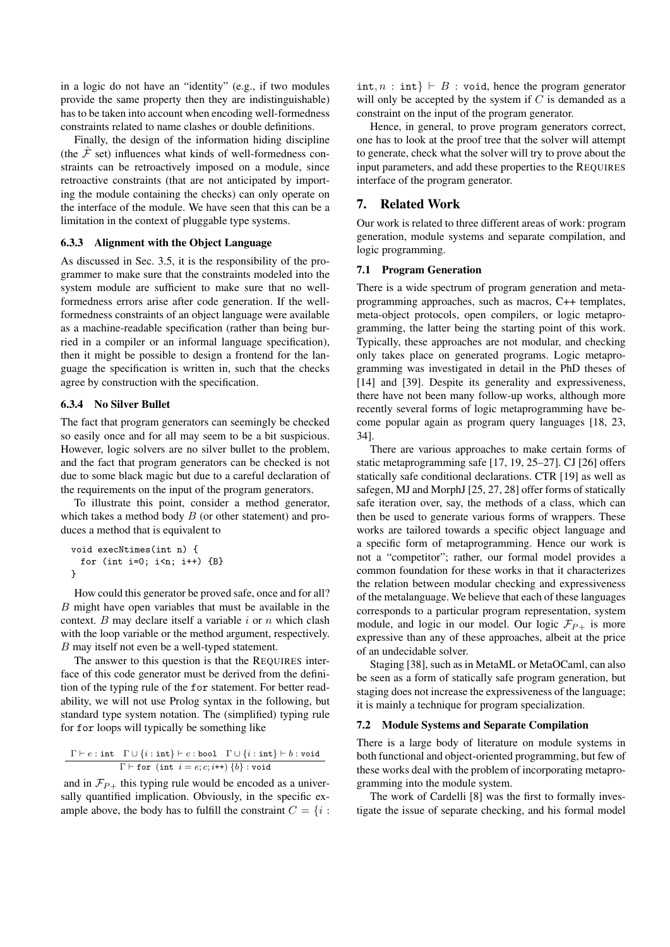in a logic do not have an "identity" (e.g., if two modules provide the same property then they are indistinguishable) has to be taken into account when encoding well-formedness constraints related to name clashes or double definitions.

Finally, the design of the information hiding discipline (the  $\hat{\mathcal{F}}$  set) influences what kinds of well-formedness constraints can be retroactively imposed on a module, since retroactive constraints (that are not anticipated by importing the module containing the checks) can only operate on the interface of the module. We have seen that this can be a limitation in the context of pluggable type systems.

## 6.3.3 Alignment with the Object Language

As discussed in Sec. 3.5, it is the responsibility of the programmer to make sure that the constraints modeled into the system module are sufficient to make sure that no wellformedness errors arise after code generation. If the wellformedness constraints of an object language were available as a machine-readable specification (rather than being burried in a compiler or an informal language specification), then it might be possible to design a frontend for the language the specification is written in, such that the checks agree by construction with the specification.

## 6.3.4 No Silver Bullet

The fact that program generators can seemingly be checked so easily once and for all may seem to be a bit suspicious. However, logic solvers are no silver bullet to the problem, and the fact that program generators can be checked is not due to some black magic but due to a careful declaration of the requirements on the input of the program generators.

To illustrate this point, consider a method generator, which takes a method body  $B$  (or other statement) and produces a method that is equivalent to

```
void execNtimes(int n) {
 for (int i=0; i<n; i++) {B}}
```
How could this generator be proved safe, once and for all?  $B$  might have open variables that must be available in the context.  $B$  may declare itself a variable  $i$  or  $n$  which clash with the loop variable or the method argument, respectively. B may itself not even be a well-typed statement.

The answer to this question is that the REQUIRES interface of this code generator must be derived from the definition of the typing rule of the for statement. For better readability, we will not use Prolog syntax in the following, but standard type system notation. The (simplified) typing rule for for loops will typically be something like

$$
\frac{\Gamma \vdash e : \texttt{int} \quad \Gamma \cup \{i : \texttt{int}\} \vdash c : \texttt{bool} \quad \Gamma \cup \{i : \texttt{int}\} \vdash b : \texttt{void}}{\Gamma \vdash \texttt{for} \ (\texttt{int} \ i = e; c; i++) \ \{b\} : \texttt{void}}
$$

and in  $\mathcal{F}_{P+}$  this typing rule would be encoded as a universally quantified implication. Obviously, in the specific example above, the body has to fulfill the constraint  $C = \{i :$  int,  $n : int$   $\vdash B : void$ , hence the program generator will only be accepted by the system if  $C$  is demanded as a constraint on the input of the program generator.

Hence, in general, to prove program generators correct, one has to look at the proof tree that the solver will attempt to generate, check what the solver will try to prove about the input parameters, and add these properties to the REQUIRES interface of the program generator.

# 7. Related Work

Our work is related to three different areas of work: program generation, module systems and separate compilation, and logic programming.

## 7.1 Program Generation

There is a wide spectrum of program generation and metaprogramming approaches, such as macros, C++ templates, meta-object protocols, open compilers, or logic metaprogramming, the latter being the starting point of this work. Typically, these approaches are not modular, and checking only takes place on generated programs. Logic metaprogramming was investigated in detail in the PhD theses of [14] and [39]. Despite its generality and expressiveness, there have not been many follow-up works, although more recently several forms of logic metaprogramming have become popular again as program query languages [18, 23, 34].

There are various approaches to make certain forms of static metaprogramming safe [17, 19, 25–27]. CJ [26] offers statically safe conditional declarations. CTR [19] as well as safegen, MJ and MorphJ [25, 27, 28] offer forms of statically safe iteration over, say, the methods of a class, which can then be used to generate various forms of wrappers. These works are tailored towards a specific object language and a specific form of metaprogramming. Hence our work is not a "competitor"; rather, our formal model provides a common foundation for these works in that it characterizes the relation between modular checking and expressiveness of the metalanguage. We believe that each of these languages corresponds to a particular program representation, system module, and logic in our model. Our logic  $\mathcal{F}_{P+}$  is more expressive than any of these approaches, albeit at the price of an undecidable solver.

Staging [38], such as in MetaML or MetaOCaml, can also be seen as a form of statically safe program generation, but staging does not increase the expressiveness of the language; it is mainly a technique for program specialization.

## 7.2 Module Systems and Separate Compilation

There is a large body of literature on module systems in both functional and object-oriented programming, but few of these works deal with the problem of incorporating metaprogramming into the module system.

The work of Cardelli [8] was the first to formally investigate the issue of separate checking, and his formal model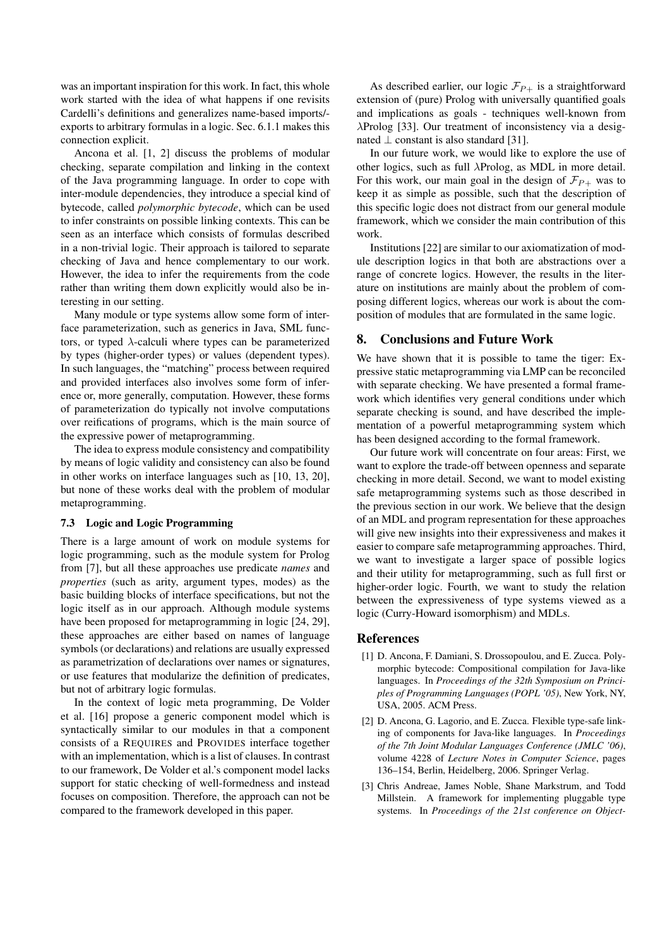was an important inspiration for this work. In fact, this whole work started with the idea of what happens if one revisits Cardelli's definitions and generalizes name-based imports/ exports to arbitrary formulas in a logic. Sec. 6.1.1 makes this connection explicit.

Ancona et al. [1, 2] discuss the problems of modular checking, separate compilation and linking in the context of the Java programming language. In order to cope with inter-module dependencies, they introduce a special kind of bytecode, called *polymorphic bytecode*, which can be used to infer constraints on possible linking contexts. This can be seen as an interface which consists of formulas described in a non-trivial logic. Their approach is tailored to separate checking of Java and hence complementary to our work. However, the idea to infer the requirements from the code rather than writing them down explicitly would also be interesting in our setting.

Many module or type systems allow some form of interface parameterization, such as generics in Java, SML functors, or typed  $\lambda$ -calculi where types can be parameterized by types (higher-order types) or values (dependent types). In such languages, the "matching" process between required and provided interfaces also involves some form of inference or, more generally, computation. However, these forms of parameterization do typically not involve computations over reifications of programs, which is the main source of the expressive power of metaprogramming.

The idea to express module consistency and compatibility by means of logic validity and consistency can also be found in other works on interface languages such as [10, 13, 20], but none of these works deal with the problem of modular metaprogramming.

## 7.3 Logic and Logic Programming

There is a large amount of work on module systems for logic programming, such as the module system for Prolog from [7], but all these approaches use predicate *names* and *properties* (such as arity, argument types, modes) as the basic building blocks of interface specifications, but not the logic itself as in our approach. Although module systems have been proposed for metaprogramming in logic [24, 29], these approaches are either based on names of language symbols (or declarations) and relations are usually expressed as parametrization of declarations over names or signatures, or use features that modularize the definition of predicates, but not of arbitrary logic formulas.

In the context of logic meta programming, De Volder et al. [16] propose a generic component model which is syntactically similar to our modules in that a component consists of a REQUIRES and PROVIDES interface together with an implementation, which is a list of clauses. In contrast to our framework, De Volder et al.'s component model lacks support for static checking of well-formedness and instead focuses on composition. Therefore, the approach can not be compared to the framework developed in this paper.

As described earlier, our logic  $\mathcal{F}_{P+}$  is a straightforward extension of (pure) Prolog with universally quantified goals and implications as goals - techniques well-known from λProlog [33]. Our treatment of inconsistency via a designated  $\perp$  constant is also standard [31].

In our future work, we would like to explore the use of other logics, such as full λProlog, as MDL in more detail. For this work, our main goal in the design of  $\mathcal{F}_{P+}$  was to keep it as simple as possible, such that the description of this specific logic does not distract from our general module framework, which we consider the main contribution of this work.

Institutions [22] are similar to our axiomatization of module description logics in that both are abstractions over a range of concrete logics. However, the results in the literature on institutions are mainly about the problem of composing different logics, whereas our work is about the composition of modules that are formulated in the same logic.

## 8. Conclusions and Future Work

We have shown that it is possible to tame the tiger: Expressive static metaprogramming via LMP can be reconciled with separate checking. We have presented a formal framework which identifies very general conditions under which separate checking is sound, and have described the implementation of a powerful metaprogramming system which has been designed according to the formal framework.

Our future work will concentrate on four areas: First, we want to explore the trade-off between openness and separate checking in more detail. Second, we want to model existing safe metaprogramming systems such as those described in the previous section in our work. We believe that the design of an MDL and program representation for these approaches will give new insights into their expressiveness and makes it easier to compare safe metaprogramming approaches. Third, we want to investigate a larger space of possible logics and their utility for metaprogramming, such as full first or higher-order logic. Fourth, we want to study the relation between the expressiveness of type systems viewed as a logic (Curry-Howard isomorphism) and MDLs.

#### References

- [1] D. Ancona, F. Damiani, S. Drossopoulou, and E. Zucca. Polymorphic bytecode: Compositional compilation for Java-like languages. In *Proceedings of the 32th Symposium on Principles of Programming Languages (POPL '05)*, New York, NY, USA, 2005. ACM Press.
- [2] D. Ancona, G. Lagorio, and E. Zucca. Flexible type-safe linking of components for Java-like languages. In *Proceedings of the 7th Joint Modular Languages Conference (JMLC '06)*, volume 4228 of *Lecture Notes in Computer Science*, pages 136–154, Berlin, Heidelberg, 2006. Springer Verlag.
- [3] Chris Andreae, James Noble, Shane Markstrum, and Todd Millstein. A framework for implementing pluggable type systems. In *Proceedings of the 21st conference on Object-*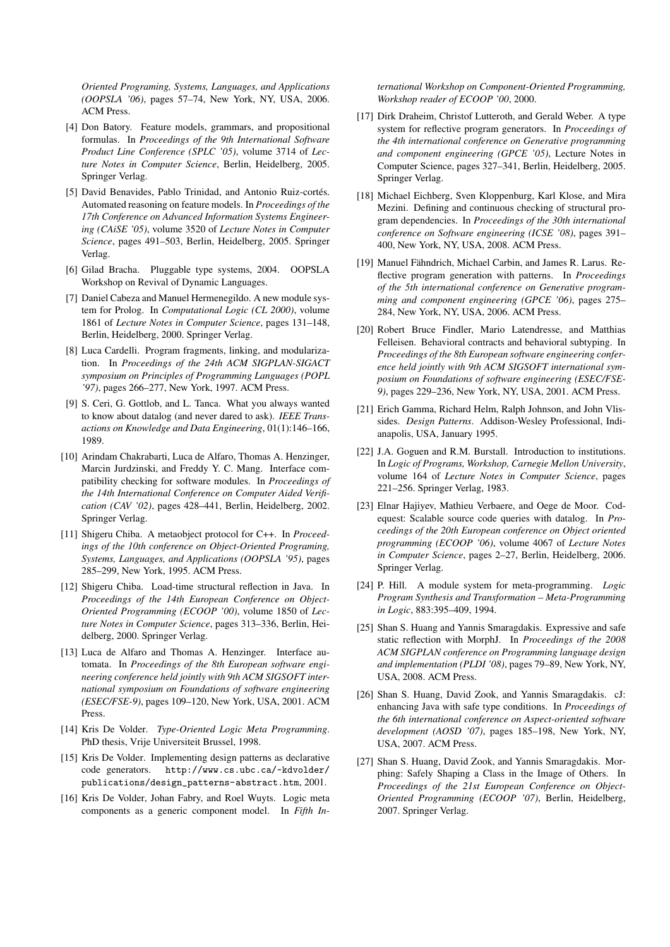*Oriented Programing, Systems, Languages, and Applications (OOPSLA '06)*, pages 57–74, New York, NY, USA, 2006. ACM Press.

- [4] Don Batory. Feature models, grammars, and propositional formulas. In *Proceedings of the 9th International Software Product Line Conference (SPLC '05)*, volume 3714 of *Lecture Notes in Computer Science*, Berlin, Heidelberg, 2005. Springer Verlag.
- [5] David Benavides, Pablo Trinidad, and Antonio Ruiz-cortés. Automated reasoning on feature models. In *Proceedings of the 17th Conference on Advanced Information Systems Engineering (CAiSE '05)*, volume 3520 of *Lecture Notes in Computer Science*, pages 491–503, Berlin, Heidelberg, 2005. Springer Verlag.
- [6] Gilad Bracha. Pluggable type systems, 2004. OOPSLA Workshop on Revival of Dynamic Languages.
- [7] Daniel Cabeza and Manuel Hermenegildo. A new module system for Prolog. In *Computational Logic (CL 2000)*, volume 1861 of *Lecture Notes in Computer Science*, pages 131–148, Berlin, Heidelberg, 2000. Springer Verlag.
- [8] Luca Cardelli. Program fragments, linking, and modularization. In *Proceedings of the 24th ACM SIGPLAN-SIGACT symposium on Principles of Programming Languages (POPL '97)*, pages 266–277, New York, 1997. ACM Press.
- [9] S. Ceri, G. Gottlob, and L. Tanca. What you always wanted to know about datalog (and never dared to ask). *IEEE Transactions on Knowledge and Data Engineering*, 01(1):146–166, 1989.
- [10] Arindam Chakrabarti, Luca de Alfaro, Thomas A. Henzinger, Marcin Jurdzinski, and Freddy Y. C. Mang. Interface compatibility checking for software modules. In *Proceedings of the 14th International Conference on Computer Aided Verification (CAV '02)*, pages 428–441, Berlin, Heidelberg, 2002. Springer Verlag.
- [11] Shigeru Chiba. A metaobject protocol for C++. In *Proceedings of the 10th conference on Object-Oriented Programing, Systems, Languages, and Applications (OOPSLA '95)*, pages 285–299, New York, 1995. ACM Press.
- [12] Shigeru Chiba. Load-time structural reflection in Java. In *Proceedings of the 14th European Conference on Object-Oriented Programming (ECOOP '00)*, volume 1850 of *Lecture Notes in Computer Science*, pages 313–336, Berlin, Heidelberg, 2000. Springer Verlag.
- [13] Luca de Alfaro and Thomas A. Henzinger. Interface automata. In *Proceedings of the 8th European software engineering conference held jointly with 9th ACM SIGSOFT international symposium on Foundations of software engineering (ESEC/FSE-9)*, pages 109–120, New York, USA, 2001. ACM Press.
- [14] Kris De Volder. *Type-Oriented Logic Meta Programming*. PhD thesis, Vrije Universiteit Brussel, 1998.
- [15] Kris De Volder. Implementing design patterns as declarative code generators. http://www.cs.ubc.ca/~kdvolder/ publications/design\_patterns-abstract.htm, 2001.
- [16] Kris De Volder, Johan Fabry, and Roel Wuyts. Logic meta components as a generic component model. In *Fifth In-*

*ternational Workshop on Component-Oriented Programming, Workshop reader of ECOOP '00*, 2000.

- [17] Dirk Draheim, Christof Lutteroth, and Gerald Weber. A type system for reflective program generators. In *Proceedings of the 4th international conference on Generative programming and component engineering (GPCE '05)*, Lecture Notes in Computer Science, pages 327–341, Berlin, Heidelberg, 2005. Springer Verlag.
- [18] Michael Eichberg, Sven Kloppenburg, Karl Klose, and Mira Mezini. Defining and continuous checking of structural program dependencies. In *Proceedings of the 30th international conference on Software engineering (ICSE '08)*, pages 391– 400, New York, NY, USA, 2008. ACM Press.
- [19] Manuel Fähndrich, Michael Carbin, and James R. Larus. Reflective program generation with patterns. In *Proceedings of the 5th international conference on Generative programming and component engineering (GPCE '06)*, pages 275– 284, New York, NY, USA, 2006. ACM Press.
- [20] Robert Bruce Findler, Mario Latendresse, and Matthias Felleisen. Behavioral contracts and behavioral subtyping. In *Proceedings of the 8th European software engineering conference held jointly with 9th ACM SIGSOFT international symposium on Foundations of software engineering (ESEC/FSE-9)*, pages 229–236, New York, NY, USA, 2001. ACM Press.
- [21] Erich Gamma, Richard Helm, Ralph Johnson, and John Vlissides. *Design Patterns*. Addison-Wesley Professional, Indianapolis, USA, January 1995.
- [22] J.A. Goguen and R.M. Burstall. Introduction to institutions. In *Logic of Programs, Workshop, Carnegie Mellon University*, volume 164 of *Lecture Notes in Computer Science*, pages 221–256. Springer Verlag, 1983.
- [23] Elnar Hajiyev, Mathieu Verbaere, and Oege de Moor. Codequest: Scalable source code queries with datalog. In *Proceedings of the 20th European conference on Object oriented programming (ECOOP '06)*, volume 4067 of *Lecture Notes in Computer Science*, pages 2–27, Berlin, Heidelberg, 2006. Springer Verlag.
- [24] P. Hill. A module system for meta-programming. *Logic Program Synthesis and Transformation – Meta-Programming in Logic*, 883:395–409, 1994.
- [25] Shan S. Huang and Yannis Smaragdakis. Expressive and safe static reflection with MorphJ. In *Proceedings of the 2008 ACM SIGPLAN conference on Programming language design and implementation (PLDI '08)*, pages 79–89, New York, NY, USA, 2008. ACM Press.
- [26] Shan S. Huang, David Zook, and Yannis Smaragdakis. cJ: enhancing Java with safe type conditions. In *Proceedings of the 6th international conference on Aspect-oriented software development (AOSD '07)*, pages 185–198, New York, NY, USA, 2007. ACM Press.
- [27] Shan S. Huang, David Zook, and Yannis Smaragdakis. Morphing: Safely Shaping a Class in the Image of Others. In *Proceedings of the 21st European Conference on Object-Oriented Programming (ECOOP '07)*, Berlin, Heidelberg, 2007. Springer Verlag.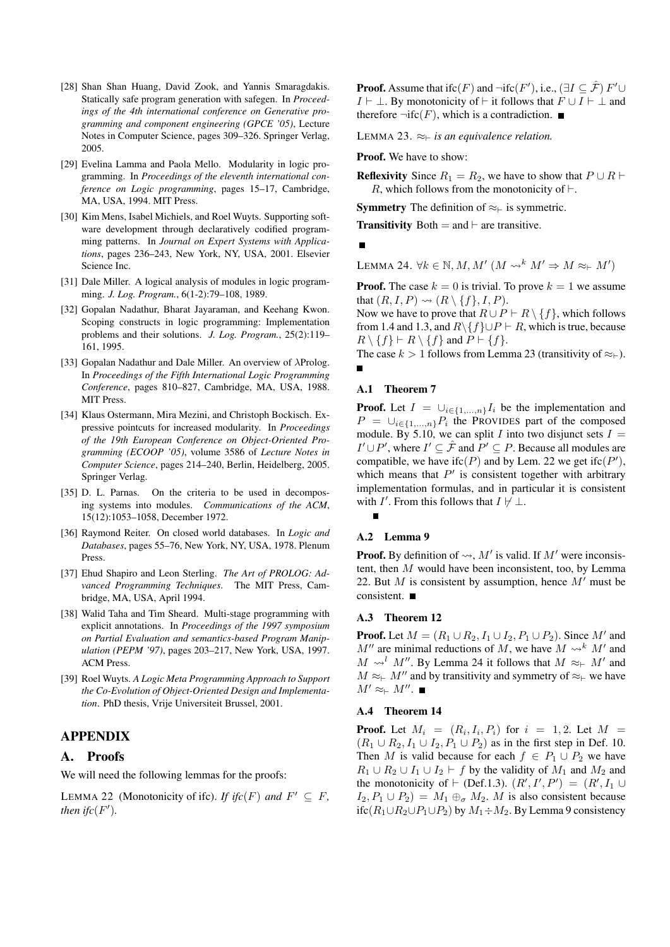- [28] Shan Shan Huang, David Zook, and Yannis Smaragdakis. Statically safe program generation with safegen. In *Proceedings of the 4th international conference on Generative programming and component engineering (GPCE '05)*, Lecture Notes in Computer Science, pages 309–326. Springer Verlag, 2005.
- [29] Evelina Lamma and Paola Mello. Modularity in logic programming. In *Proceedings of the eleventh international conference on Logic programming*, pages 15–17, Cambridge, MA, USA, 1994. MIT Press.
- [30] Kim Mens, Isabel Michiels, and Roel Wuyts. Supporting software development through declaratively codified programming patterns. In *Journal on Expert Systems with Applications*, pages 236–243, New York, NY, USA, 2001. Elsevier Science Inc.
- [31] Dale Miller. A logical analysis of modules in logic programming. *J. Log. Program.*, 6(1-2):79–108, 1989.
- [32] Gopalan Nadathur, Bharat Javaraman, and Keehang Kwon. Scoping constructs in logic programming: Implementation problems and their solutions. *J. Log. Program.*, 25(2):119– 161, 1995.
- [33] Gopalan Nadathur and Dale Miller. An overview of λProlog. In *Proceedings of the Fifth International Logic Programming Conference*, pages 810–827, Cambridge, MA, USA, 1988. MIT Press.
- [34] Klaus Ostermann, Mira Mezini, and Christoph Bockisch. Expressive pointcuts for increased modularity. In *Proceedings of the 19th European Conference on Object-Oriented Programming (ECOOP '05)*, volume 3586 of *Lecture Notes in Computer Science*, pages 214–240, Berlin, Heidelberg, 2005. Springer Verlag.
- [35] D. L. Parnas. On the criteria to be used in decomposing systems into modules. *Communications of the ACM*, 15(12):1053–1058, December 1972.
- [36] Raymond Reiter. On closed world databases. In *Logic and Databases*, pages 55–76, New York, NY, USA, 1978. Plenum Press.
- [37] Ehud Shapiro and Leon Sterling. *The Art of PROLOG: Advanced Programming Techniques*. The MIT Press, Cambridge, MA, USA, April 1994.
- [38] Walid Taha and Tim Sheard. Multi-stage programming with explicit annotations. In *Proceedings of the 1997 symposium on Partial Evaluation and semantics-based Program Manipulation (PEPM '97)*, pages 203–217, New York, USA, 1997. ACM Press.
- [39] Roel Wuyts. *A Logic Meta Programming Approach to Support the Co-Evolution of Object-Oriented Design and Implementation*. PhD thesis, Vrije Universiteit Brussel, 2001.

# APPENDIX

# A. Proofs

We will need the following lemmas for the proofs:

LEMMA 22 (Monotonicity of ifc). *If ifc*(*F*) *and*  $F' \subseteq F$ , *then ifc*( $F'$ ).

**Proof.** Assume that if  $c(F)$  and  $\neg$ if  $c(F')$ , i.e.,  $(\exists I \subseteq \hat{\mathcal{F}}) F' \cup$  $I \vdash \bot$ . By monotonicity of  $\vdash$  it follows that  $F \cup I \vdash \bot$  and therefore  $\neg$ ifc(*F*), which is a contradiction.

LEMMA 23.  $\approx_{\vdash}$  *is an equivalence relation.* 

#### Proof. We have to show:

**Reflexivity** Since  $R_1 = R_2$ , we have to show that  $P \cup R \vdash$ R, which follows from the monotonicity of  $\vdash$ .

**Symmetry** The definition of  $\approx_{\vdash}$  is symmetric.

**Transitivity** Both  $=$  and  $\vdash$  are transitive.

 $\blacksquare$ 

LEMMA 24.  $\forall k \in \mathbb{N}, M, M'$   $(M \leadsto^k M' \Rightarrow M \approx_{\vdash} M')$ 

**Proof.** The case  $k = 0$  is trivial. To prove  $k = 1$  we assume that  $(R, I, P) \rightsquigarrow (R \setminus \{f\}, I, P).$ 

Now we have to prove that  $R \cup P \vdash R \setminus \{f\}$ , which follows from 1.4 and 1.3, and  $R \setminus \{f\} \cup P \vdash R$ , which is true, because  $R \setminus \{f\} \vdash R \setminus \{f\}$  and  $P \vdash \{f\}.$ 

The case  $k > 1$  follows from Lemma 23 (transitivity of  $\approx_{\vdash}$ ).

## A.1 Theorem 7

**Proof.** Let  $I = \bigcup_{i \in \{1, ..., n\}} I_i$  be the implementation and  $P = \bigcup_{i \in \{1,...,n\}} P_i$  the PROVIDES part of the composed module. By 5.10, we can split I into two disjunct sets  $I =$  $I' \cup P'$ , where  $I' \subseteq \hat{\mathcal{F}}$  and  $P' \subseteq P$ . Because all modules are compatible, we have if  $c(P)$  and by Lem. 22 we get if  $c(P')$ , which means that  $P'$  is consistent together with arbitrary implementation formulas, and in particular it is consistent with  $I'$ . From this follows that  $I \not\vdash \bot$ .



## A.2 Lemma 9

**Proof.** By definition of  $\leadsto$ , M' is valid. If M' were inconsistent, then M would have been inconsistent, too, by Lemma 22. But  $M$  is consistent by assumption, hence  $M'$  must be consistent.

## A.3 Theorem 12

**Proof.** Let  $M = (R_1 \cup R_2, I_1 \cup I_2, P_1 \cup P_2)$ . Since M' and  $M''$  are minimal reductions of M, we have  $M \leadsto^k M'$  and  $M \rightsquigarrow^l M''$ . By Lemma 24 it follows that  $M \approx_{\vdash} M'$  and  $M \approx_{\text{max}} M''$  and by transitivity and symmetry of  $\approx_{\text{max}}$  we have  $M' \approx_{\vdash} M''$ .

## A.4 Theorem 14

**Proof.** Let  $M_i = (R_i, I_i, P_i)$  for  $i = 1, 2$ . Let  $M =$  $(R_1 \cup R_2, I_1 \cup I_2, P_1 \cup P_2)$  as in the first step in Def. 10. Then M is valid because for each  $f \in P_1 \cup P_2$  we have  $R_1 \cup R_2 \cup I_1 \cup I_2 \vdash f$  by the validity of  $M_1$  and  $M_2$  and the monotonicity of  $\vdash$  (Def.1.3).  $(R', I', P') = (R', I_1 \cup$  $I_2, P_1 \cup P_2$  =  $M_1 \oplus_{\sigma} M_2$ . M is also consistent because ifc( $R_1 \cup R_2 \cup P_1 \cup P_2$ ) by  $M_1 \div M_2$ . By Lemma 9 consistency